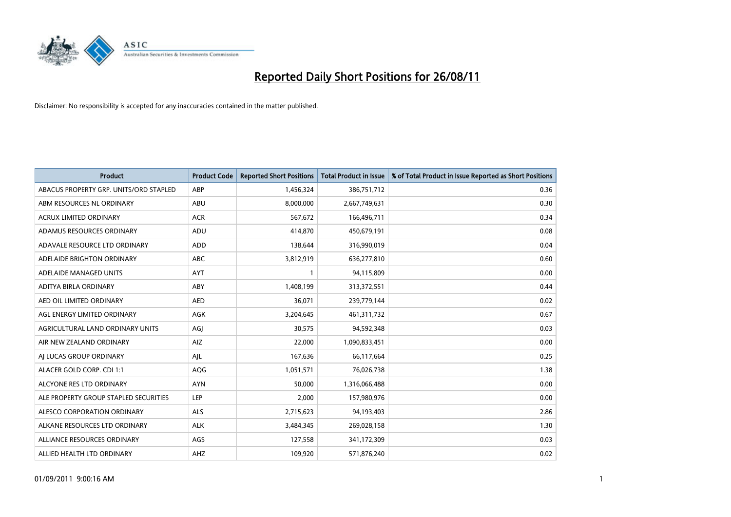

| <b>Product</b>                         | <b>Product Code</b> | <b>Reported Short Positions</b> | <b>Total Product in Issue</b> | % of Total Product in Issue Reported as Short Positions |
|----------------------------------------|---------------------|---------------------------------|-------------------------------|---------------------------------------------------------|
| ABACUS PROPERTY GRP. UNITS/ORD STAPLED | ABP                 | 1,456,324                       | 386,751,712                   | 0.36                                                    |
| ABM RESOURCES NL ORDINARY              | ABU                 | 8,000,000                       | 2,667,749,631                 | 0.30                                                    |
| <b>ACRUX LIMITED ORDINARY</b>          | <b>ACR</b>          | 567,672                         | 166,496,711                   | 0.34                                                    |
| ADAMUS RESOURCES ORDINARY              | ADU                 | 414,870                         | 450,679,191                   | 0.08                                                    |
| ADAVALE RESOURCE LTD ORDINARY          | <b>ADD</b>          | 138.644                         | 316,990,019                   | 0.04                                                    |
| ADELAIDE BRIGHTON ORDINARY             | <b>ABC</b>          | 3,812,919                       | 636,277,810                   | 0.60                                                    |
| ADELAIDE MANAGED UNITS                 | <b>AYT</b>          |                                 | 94,115,809                    | 0.00                                                    |
| ADITYA BIRLA ORDINARY                  | ABY                 | 1,408,199                       | 313,372,551                   | 0.44                                                    |
| AED OIL LIMITED ORDINARY               | <b>AED</b>          | 36,071                          | 239,779,144                   | 0.02                                                    |
| AGL ENERGY LIMITED ORDINARY            | <b>AGK</b>          | 3,204,645                       | 461,311,732                   | 0.67                                                    |
| AGRICULTURAL LAND ORDINARY UNITS       | AGJ                 | 30,575                          | 94,592,348                    | 0.03                                                    |
| AIR NEW ZEALAND ORDINARY               | AIZ                 | 22,000                          | 1,090,833,451                 | 0.00                                                    |
| AI LUCAS GROUP ORDINARY                | AJL                 | 167,636                         | 66,117,664                    | 0.25                                                    |
| ALACER GOLD CORP. CDI 1:1              | AQG                 | 1,051,571                       | 76,026,738                    | 1.38                                                    |
| ALCYONE RES LTD ORDINARY               | <b>AYN</b>          | 50,000                          | 1,316,066,488                 | 0.00                                                    |
| ALE PROPERTY GROUP STAPLED SECURITIES  | LEP                 | 2,000                           | 157,980,976                   | 0.00                                                    |
| ALESCO CORPORATION ORDINARY            | <b>ALS</b>          | 2,715,623                       | 94,193,403                    | 2.86                                                    |
| ALKANE RESOURCES LTD ORDINARY          | <b>ALK</b>          | 3,484,345                       | 269,028,158                   | 1.30                                                    |
| ALLIANCE RESOURCES ORDINARY            | AGS                 | 127,558                         | 341,172,309                   | 0.03                                                    |
| ALLIED HEALTH LTD ORDINARY             | <b>AHZ</b>          | 109,920                         | 571,876,240                   | 0.02                                                    |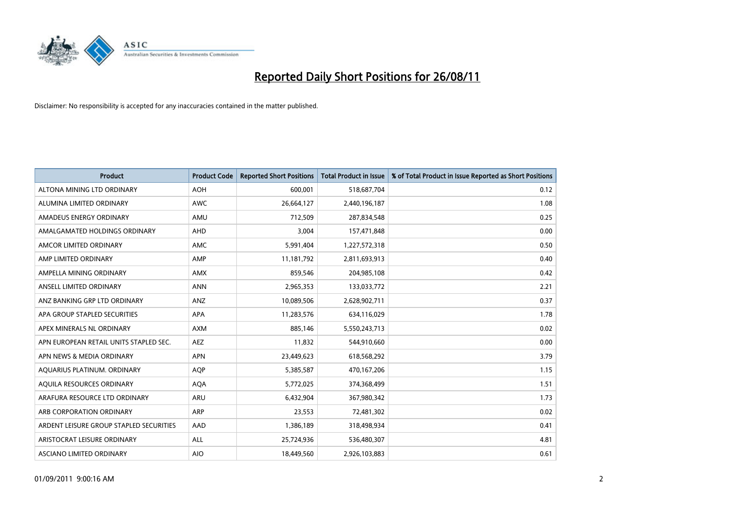

| <b>Product</b>                          | <b>Product Code</b> | <b>Reported Short Positions</b> | <b>Total Product in Issue</b> | % of Total Product in Issue Reported as Short Positions |
|-----------------------------------------|---------------------|---------------------------------|-------------------------------|---------------------------------------------------------|
| ALTONA MINING LTD ORDINARY              | <b>AOH</b>          | 600,001                         | 518,687,704                   | 0.12                                                    |
| ALUMINA LIMITED ORDINARY                | <b>AWC</b>          | 26,664,127                      | 2,440,196,187                 | 1.08                                                    |
| AMADEUS ENERGY ORDINARY                 | AMU                 | 712,509                         | 287,834,548                   | 0.25                                                    |
| AMALGAMATED HOLDINGS ORDINARY           | AHD                 | 3,004                           | 157,471,848                   | 0.00                                                    |
| AMCOR LIMITED ORDINARY                  | <b>AMC</b>          | 5,991,404                       | 1,227,572,318                 | 0.50                                                    |
| AMP LIMITED ORDINARY                    | AMP                 | 11,181,792                      | 2,811,693,913                 | 0.40                                                    |
| AMPELLA MINING ORDINARY                 | <b>AMX</b>          | 859,546                         | 204,985,108                   | 0.42                                                    |
| ANSELL LIMITED ORDINARY                 | <b>ANN</b>          | 2,965,353                       | 133,033,772                   | 2.21                                                    |
| ANZ BANKING GRP LTD ORDINARY            | <b>ANZ</b>          | 10,089,506                      | 2,628,902,711                 | 0.37                                                    |
| APA GROUP STAPLED SECURITIES            | <b>APA</b>          | 11,283,576                      | 634,116,029                   | 1.78                                                    |
| APEX MINERALS NL ORDINARY               | <b>AXM</b>          | 885,146                         | 5,550,243,713                 | 0.02                                                    |
| APN EUROPEAN RETAIL UNITS STAPLED SEC.  | <b>AEZ</b>          | 11,832                          | 544,910,660                   | 0.00                                                    |
| APN NEWS & MEDIA ORDINARY               | <b>APN</b>          | 23,449,623                      | 618,568,292                   | 3.79                                                    |
| AQUARIUS PLATINUM. ORDINARY             | <b>AOP</b>          | 5,385,587                       | 470,167,206                   | 1.15                                                    |
| AQUILA RESOURCES ORDINARY               | <b>AQA</b>          | 5,772,025                       | 374,368,499                   | 1.51                                                    |
| ARAFURA RESOURCE LTD ORDINARY           | ARU                 | 6,432,904                       | 367,980,342                   | 1.73                                                    |
| ARB CORPORATION ORDINARY                | <b>ARP</b>          | 23,553                          | 72,481,302                    | 0.02                                                    |
| ARDENT LEISURE GROUP STAPLED SECURITIES | AAD                 | 1,386,189                       | 318,498,934                   | 0.41                                                    |
| ARISTOCRAT LEISURE ORDINARY             | <b>ALL</b>          | 25,724,936                      | 536,480,307                   | 4.81                                                    |
| ASCIANO LIMITED ORDINARY                | <b>AIO</b>          | 18.449.560                      | 2,926,103,883                 | 0.61                                                    |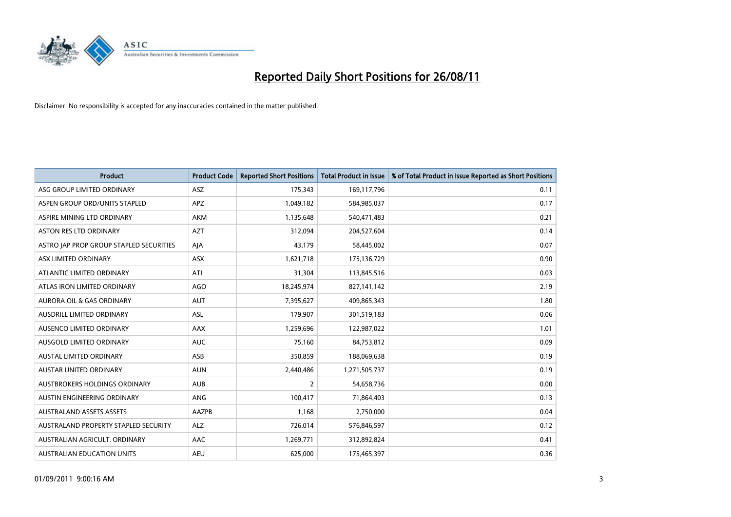

| <b>Product</b>                          | <b>Product Code</b> | <b>Reported Short Positions</b> | <b>Total Product in Issue</b> | % of Total Product in Issue Reported as Short Positions |
|-----------------------------------------|---------------------|---------------------------------|-------------------------------|---------------------------------------------------------|
| ASG GROUP LIMITED ORDINARY              | ASZ                 | 175,343                         | 169,117,796                   | 0.11                                                    |
| ASPEN GROUP ORD/UNITS STAPLED           | <b>APZ</b>          | 1,049,182                       | 584,985,037                   | 0.17                                                    |
| ASPIRE MINING LTD ORDINARY              | <b>AKM</b>          | 1,135,648                       | 540,471,483                   | 0.21                                                    |
| <b>ASTON RES LTD ORDINARY</b>           | <b>AZT</b>          | 312,094                         | 204,527,604                   | 0.14                                                    |
| ASTRO JAP PROP GROUP STAPLED SECURITIES | AJA                 | 43,179                          | 58,445,002                    | 0.07                                                    |
| ASX LIMITED ORDINARY                    | <b>ASX</b>          | 1,621,718                       | 175,136,729                   | 0.90                                                    |
| ATLANTIC LIMITED ORDINARY               | ATI                 | 31,304                          | 113,845,516                   | 0.03                                                    |
| ATLAS IRON LIMITED ORDINARY             | <b>AGO</b>          | 18,245,974                      | 827,141,142                   | 2.19                                                    |
| AURORA OIL & GAS ORDINARY               | <b>AUT</b>          | 7,395,627                       | 409,865,343                   | 1.80                                                    |
| AUSDRILL LIMITED ORDINARY               | <b>ASL</b>          | 179,907                         | 301,519,183                   | 0.06                                                    |
| AUSENCO LIMITED ORDINARY                | <b>AAX</b>          | 1,259,696                       | 122,987,022                   | 1.01                                                    |
| AUSGOLD LIMITED ORDINARY                | <b>AUC</b>          | 75,160                          | 84,753,812                    | 0.09                                                    |
| <b>AUSTAL LIMITED ORDINARY</b>          | ASB                 | 350,859                         | 188,069,638                   | 0.19                                                    |
| <b>AUSTAR UNITED ORDINARY</b>           | <b>AUN</b>          | 2,440,486                       | 1,271,505,737                 | 0.19                                                    |
| AUSTBROKERS HOLDINGS ORDINARY           | <b>AUB</b>          | 2                               | 54,658,736                    | 0.00                                                    |
| AUSTIN ENGINEERING ORDINARY             | ANG                 | 100,417                         | 71,864,403                    | 0.13                                                    |
| <b>AUSTRALAND ASSETS ASSETS</b>         | AAZPB               | 1,168                           | 2,750,000                     | 0.04                                                    |
| AUSTRALAND PROPERTY STAPLED SECURITY    | <b>ALZ</b>          | 726,014                         | 576,846,597                   | 0.12                                                    |
| AUSTRALIAN AGRICULT, ORDINARY           | AAC                 | 1,269,771                       | 312,892,824                   | 0.41                                                    |
| AUSTRALIAN EDUCATION UNITS              | <b>AEU</b>          | 625.000                         | 175,465,397                   | 0.36                                                    |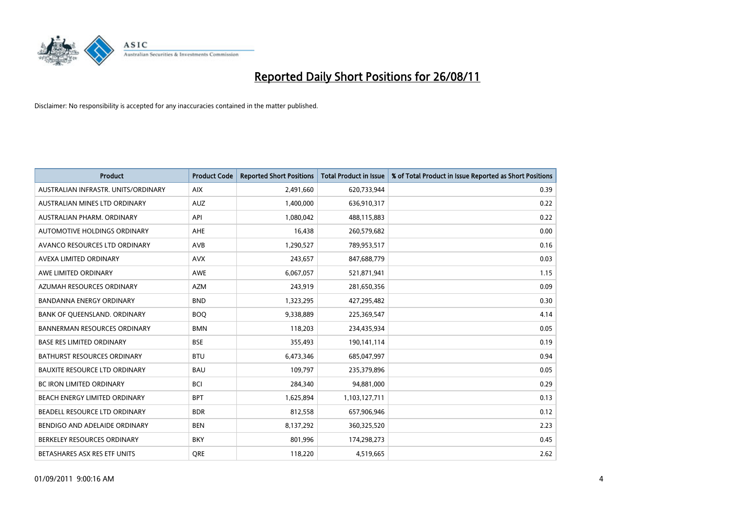

| <b>Product</b>                       | <b>Product Code</b> | <b>Reported Short Positions</b> | <b>Total Product in Issue</b> | % of Total Product in Issue Reported as Short Positions |
|--------------------------------------|---------------------|---------------------------------|-------------------------------|---------------------------------------------------------|
| AUSTRALIAN INFRASTR, UNITS/ORDINARY  | <b>AIX</b>          | 2,491,660                       | 620,733,944                   | 0.39                                                    |
| AUSTRALIAN MINES LTD ORDINARY        | <b>AUZ</b>          | 1,400,000                       | 636,910,317                   | 0.22                                                    |
| AUSTRALIAN PHARM, ORDINARY           | API                 | 1,080,042                       | 488,115,883                   | 0.22                                                    |
| AUTOMOTIVE HOLDINGS ORDINARY         | <b>AHE</b>          | 16,438                          | 260,579,682                   | 0.00                                                    |
| AVANCO RESOURCES LTD ORDINARY        | AVB                 | 1,290,527                       | 789,953,517                   | 0.16                                                    |
| AVEXA LIMITED ORDINARY               | <b>AVX</b>          | 243,657                         | 847,688,779                   | 0.03                                                    |
| AWE LIMITED ORDINARY                 | <b>AWE</b>          | 6,067,057                       | 521,871,941                   | 1.15                                                    |
| AZUMAH RESOURCES ORDINARY            | <b>AZM</b>          | 243,919                         | 281,650,356                   | 0.09                                                    |
| <b>BANDANNA ENERGY ORDINARY</b>      | <b>BND</b>          | 1,323,295                       | 427,295,482                   | 0.30                                                    |
| BANK OF QUEENSLAND. ORDINARY         | <b>BOO</b>          | 9,338,889                       | 225,369,547                   | 4.14                                                    |
| <b>BANNERMAN RESOURCES ORDINARY</b>  | <b>BMN</b>          | 118,203                         | 234,435,934                   | 0.05                                                    |
| <b>BASE RES LIMITED ORDINARY</b>     | <b>BSE</b>          | 355,493                         | 190,141,114                   | 0.19                                                    |
| BATHURST RESOURCES ORDINARY          | <b>BTU</b>          | 6,473,346                       | 685,047,997                   | 0.94                                                    |
| <b>BAUXITE RESOURCE LTD ORDINARY</b> | <b>BAU</b>          | 109,797                         | 235,379,896                   | 0.05                                                    |
| <b>BC IRON LIMITED ORDINARY</b>      | <b>BCI</b>          | 284,340                         | 94,881,000                    | 0.29                                                    |
| BEACH ENERGY LIMITED ORDINARY        | <b>BPT</b>          | 1,625,894                       | 1,103,127,711                 | 0.13                                                    |
| BEADELL RESOURCE LTD ORDINARY        | <b>BDR</b>          | 812,558                         | 657,906,946                   | 0.12                                                    |
| BENDIGO AND ADELAIDE ORDINARY        | <b>BEN</b>          | 8,137,292                       | 360,325,520                   | 2.23                                                    |
| BERKELEY RESOURCES ORDINARY          | <b>BKY</b>          | 801,996                         | 174,298,273                   | 0.45                                                    |
| BETASHARES ASX RES ETF UNITS         | <b>ORE</b>          | 118,220                         | 4,519,665                     | 2.62                                                    |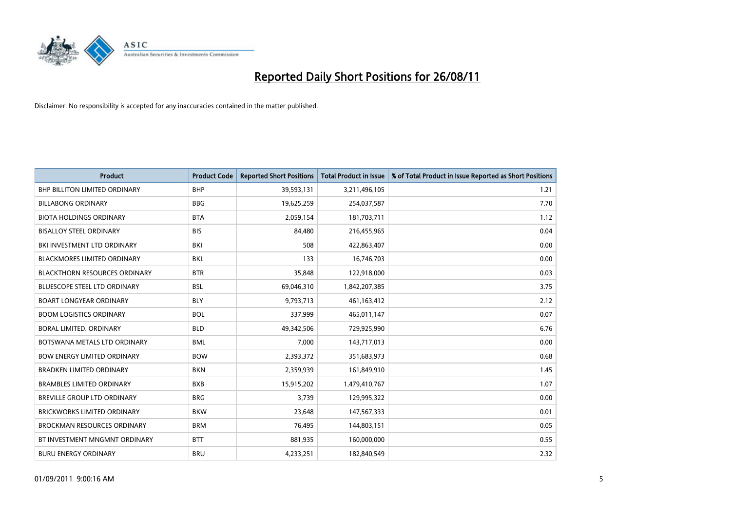

| <b>Product</b>                       | <b>Product Code</b> | <b>Reported Short Positions</b> | <b>Total Product in Issue</b> | % of Total Product in Issue Reported as Short Positions |
|--------------------------------------|---------------------|---------------------------------|-------------------------------|---------------------------------------------------------|
| <b>BHP BILLITON LIMITED ORDINARY</b> | <b>BHP</b>          | 39,593,131                      | 3,211,496,105                 | 1.21                                                    |
| <b>BILLABONG ORDINARY</b>            | <b>BBG</b>          | 19,625,259                      | 254,037,587                   | 7.70                                                    |
| <b>BIOTA HOLDINGS ORDINARY</b>       | <b>BTA</b>          | 2,059,154                       | 181,703,711                   | 1.12                                                    |
| <b>BISALLOY STEEL ORDINARY</b>       | <b>BIS</b>          | 84,480                          | 216,455,965                   | 0.04                                                    |
| BKI INVESTMENT LTD ORDINARY          | BKI                 | 508                             | 422,863,407                   | 0.00                                                    |
| <b>BLACKMORES LIMITED ORDINARY</b>   | <b>BKL</b>          | 133                             | 16,746,703                    | 0.00                                                    |
| <b>BLACKTHORN RESOURCES ORDINARY</b> | <b>BTR</b>          | 35,848                          | 122,918,000                   | 0.03                                                    |
| <b>BLUESCOPE STEEL LTD ORDINARY</b>  | <b>BSL</b>          | 69,046,310                      | 1,842,207,385                 | 3.75                                                    |
| <b>BOART LONGYEAR ORDINARY</b>       | <b>BLY</b>          | 9,793,713                       | 461,163,412                   | 2.12                                                    |
| <b>BOOM LOGISTICS ORDINARY</b>       | <b>BOL</b>          | 337,999                         | 465,011,147                   | 0.07                                                    |
| BORAL LIMITED. ORDINARY              | <b>BLD</b>          | 49,342,506                      | 729,925,990                   | 6.76                                                    |
| BOTSWANA METALS LTD ORDINARY         | <b>BML</b>          | 7,000                           | 143,717,013                   | 0.00                                                    |
| <b>BOW ENERGY LIMITED ORDINARY</b>   | <b>BOW</b>          | 2,393,372                       | 351,683,973                   | 0.68                                                    |
| <b>BRADKEN LIMITED ORDINARY</b>      | <b>BKN</b>          | 2,359,939                       | 161,849,910                   | 1.45                                                    |
| <b>BRAMBLES LIMITED ORDINARY</b>     | <b>BXB</b>          | 15,915,202                      | 1,479,410,767                 | 1.07                                                    |
| BREVILLE GROUP LTD ORDINARY          | <b>BRG</b>          | 3,739                           | 129,995,322                   | 0.00                                                    |
| BRICKWORKS LIMITED ORDINARY          | <b>BKW</b>          | 23,648                          | 147,567,333                   | 0.01                                                    |
| <b>BROCKMAN RESOURCES ORDINARY</b>   | <b>BRM</b>          | 76,495                          | 144,803,151                   | 0.05                                                    |
| BT INVESTMENT MNGMNT ORDINARY        | <b>BTT</b>          | 881,935                         | 160,000,000                   | 0.55                                                    |
| <b>BURU ENERGY ORDINARY</b>          | <b>BRU</b>          | 4,233,251                       | 182,840,549                   | 2.32                                                    |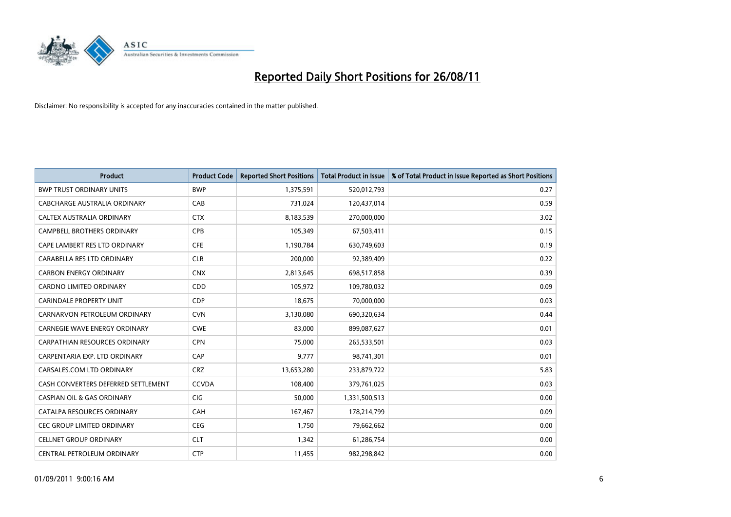

| <b>Product</b>                        | <b>Product Code</b> | <b>Reported Short Positions</b> | <b>Total Product in Issue</b> | % of Total Product in Issue Reported as Short Positions |
|---------------------------------------|---------------------|---------------------------------|-------------------------------|---------------------------------------------------------|
| <b>BWP TRUST ORDINARY UNITS</b>       | <b>BWP</b>          | 1,375,591                       | 520,012,793                   | 0.27                                                    |
| CABCHARGE AUSTRALIA ORDINARY          | CAB                 | 731,024                         | 120,437,014                   | 0.59                                                    |
| CALTEX AUSTRALIA ORDINARY             | <b>CTX</b>          | 8,183,539                       | 270,000,000                   | 3.02                                                    |
| CAMPBELL BROTHERS ORDINARY            | <b>CPB</b>          | 105,349                         | 67,503,411                    | 0.15                                                    |
| CAPE LAMBERT RES LTD ORDINARY         | <b>CFE</b>          | 1,190,784                       | 630,749,603                   | 0.19                                                    |
| CARABELLA RES LTD ORDINARY            | <b>CLR</b>          | 200,000                         | 92,389,409                    | 0.22                                                    |
| <b>CARBON ENERGY ORDINARY</b>         | <b>CNX</b>          | 2,813,645                       | 698,517,858                   | 0.39                                                    |
| <b>CARDNO LIMITED ORDINARY</b>        | <b>CDD</b>          | 105,972                         | 109,780,032                   | 0.09                                                    |
| CARINDALE PROPERTY UNIT               | <b>CDP</b>          | 18,675                          | 70,000,000                    | 0.03                                                    |
| CARNARVON PETROLEUM ORDINARY          | <b>CVN</b>          | 3,130,080                       | 690,320,634                   | 0.44                                                    |
| <b>CARNEGIE WAVE ENERGY ORDINARY</b>  | <b>CWE</b>          | 83,000                          | 899,087,627                   | 0.01                                                    |
| <b>CARPATHIAN RESOURCES ORDINARY</b>  | <b>CPN</b>          | 75,000                          | 265,533,501                   | 0.03                                                    |
| CARPENTARIA EXP. LTD ORDINARY         | CAP                 | 9.777                           | 98,741,301                    | 0.01                                                    |
| CARSALES.COM LTD ORDINARY             | <b>CRZ</b>          | 13,653,280                      | 233,879,722                   | 5.83                                                    |
| CASH CONVERTERS DEFERRED SETTLEMENT   | <b>CCVDA</b>        | 108,400                         | 379,761,025                   | 0.03                                                    |
| <b>CASPIAN OIL &amp; GAS ORDINARY</b> | <b>CIG</b>          | 50,000                          | 1,331,500,513                 | 0.00                                                    |
| CATALPA RESOURCES ORDINARY            | CAH                 | 167,467                         | 178,214,799                   | 0.09                                                    |
| CEC GROUP LIMITED ORDINARY            | <b>CEG</b>          | 1,750                           | 79,662,662                    | 0.00                                                    |
| <b>CELLNET GROUP ORDINARY</b>         | <b>CLT</b>          | 1,342                           | 61,286,754                    | 0.00                                                    |
| CENTRAL PETROLEUM ORDINARY            | <b>CTP</b>          | 11,455                          | 982,298,842                   | 0.00                                                    |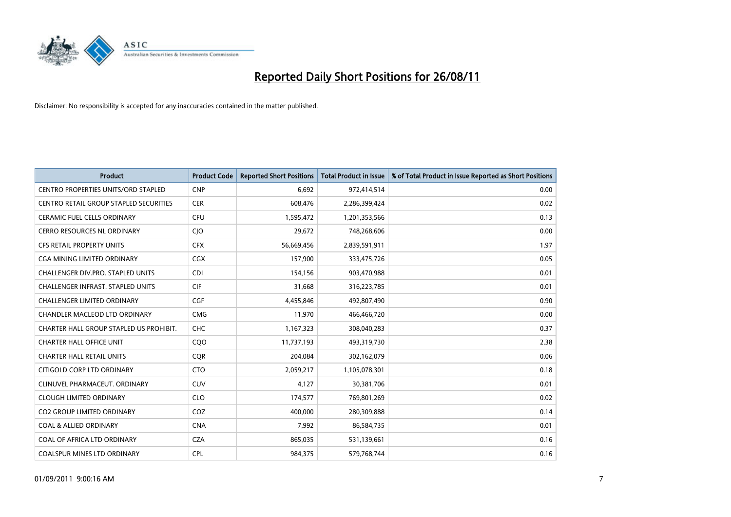

| <b>Product</b>                             | <b>Product Code</b> | <b>Reported Short Positions</b> | <b>Total Product in Issue</b> | % of Total Product in Issue Reported as Short Positions |
|--------------------------------------------|---------------------|---------------------------------|-------------------------------|---------------------------------------------------------|
| <b>CENTRO PROPERTIES UNITS/ORD STAPLED</b> | <b>CNP</b>          | 6,692                           | 972,414,514                   | 0.00                                                    |
| CENTRO RETAIL GROUP STAPLED SECURITIES     | <b>CER</b>          | 608,476                         | 2,286,399,424                 | 0.02                                                    |
| <b>CERAMIC FUEL CELLS ORDINARY</b>         | <b>CFU</b>          | 1,595,472                       | 1,201,353,566                 | 0.13                                                    |
| <b>CERRO RESOURCES NL ORDINARY</b>         | CJO                 | 29,672                          | 748,268,606                   | 0.00                                                    |
| <b>CFS RETAIL PROPERTY UNITS</b>           | <b>CFX</b>          | 56,669,456                      | 2,839,591,911                 | 1.97                                                    |
| CGA MINING LIMITED ORDINARY                | <b>CGX</b>          | 157,900                         | 333,475,726                   | 0.05                                                    |
| <b>CHALLENGER DIV.PRO. STAPLED UNITS</b>   | <b>CDI</b>          | 154,156                         | 903,470,988                   | 0.01                                                    |
| <b>CHALLENGER INFRAST, STAPLED UNITS</b>   | <b>CIF</b>          | 31,668                          | 316,223,785                   | 0.01                                                    |
| CHALLENGER LIMITED ORDINARY                | <b>CGF</b>          | 4,455,846                       | 492,807,490                   | 0.90                                                    |
| CHANDLER MACLEOD LTD ORDINARY              | <b>CMG</b>          | 11,970                          | 466,466,720                   | 0.00                                                    |
| CHARTER HALL GROUP STAPLED US PROHIBIT.    | <b>CHC</b>          | 1,167,323                       | 308,040,283                   | 0.37                                                    |
| <b>CHARTER HALL OFFICE UNIT</b>            | CQ <sub>O</sub>     | 11,737,193                      | 493,319,730                   | 2.38                                                    |
| <b>CHARTER HALL RETAIL UNITS</b>           | <b>COR</b>          | 204,084                         | 302,162,079                   | 0.06                                                    |
| CITIGOLD CORP LTD ORDINARY                 | <b>CTO</b>          | 2,059,217                       | 1,105,078,301                 | 0.18                                                    |
| CLINUVEL PHARMACEUT, ORDINARY              | <b>CUV</b>          | 4,127                           | 30,381,706                    | 0.01                                                    |
| <b>CLOUGH LIMITED ORDINARY</b>             | <b>CLO</b>          | 174,577                         | 769,801,269                   | 0.02                                                    |
| <b>CO2 GROUP LIMITED ORDINARY</b>          | COZ                 | 400,000                         | 280,309,888                   | 0.14                                                    |
| <b>COAL &amp; ALLIED ORDINARY</b>          | <b>CNA</b>          | 7,992                           | 86,584,735                    | 0.01                                                    |
| COAL OF AFRICA LTD ORDINARY                | <b>CZA</b>          | 865,035                         | 531,139,661                   | 0.16                                                    |
| COALSPUR MINES LTD ORDINARY                | <b>CPL</b>          | 984,375                         | 579,768,744                   | 0.16                                                    |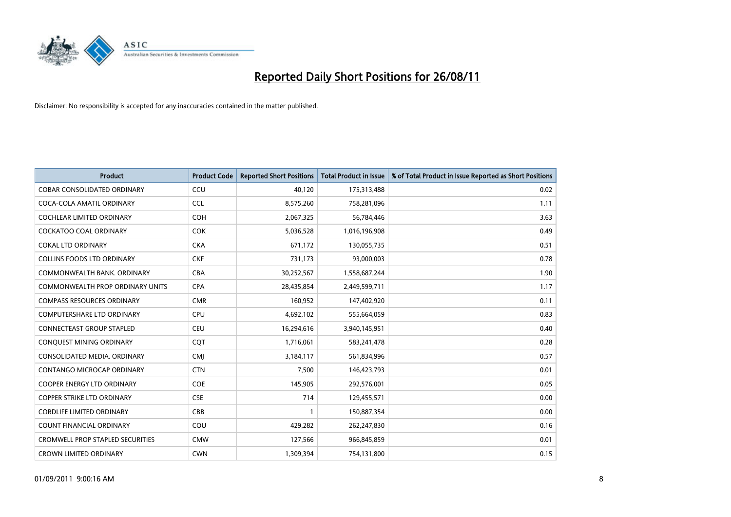

| <b>Product</b>                          | <b>Product Code</b> | <b>Reported Short Positions</b> | <b>Total Product in Issue</b> | % of Total Product in Issue Reported as Short Positions |
|-----------------------------------------|---------------------|---------------------------------|-------------------------------|---------------------------------------------------------|
| <b>COBAR CONSOLIDATED ORDINARY</b>      | CCU                 | 40,120                          | 175,313,488                   | 0.02                                                    |
| COCA-COLA AMATIL ORDINARY               | <b>CCL</b>          | 8,575,260                       | 758,281,096                   | 1.11                                                    |
| <b>COCHLEAR LIMITED ORDINARY</b>        | <b>COH</b>          | 2,067,325                       | 56,784,446                    | 3.63                                                    |
| COCKATOO COAL ORDINARY                  | <b>COK</b>          | 5,036,528                       | 1,016,196,908                 | 0.49                                                    |
| <b>COKAL LTD ORDINARY</b>               | <b>CKA</b>          | 671,172                         | 130,055,735                   | 0.51                                                    |
| <b>COLLINS FOODS LTD ORDINARY</b>       | <b>CKF</b>          | 731,173                         | 93,000,003                    | 0.78                                                    |
| COMMONWEALTH BANK, ORDINARY             | <b>CBA</b>          | 30,252,567                      | 1,558,687,244                 | 1.90                                                    |
| <b>COMMONWEALTH PROP ORDINARY UNITS</b> | <b>CPA</b>          | 28,435,854                      | 2,449,599,711                 | 1.17                                                    |
| COMPASS RESOURCES ORDINARY              | <b>CMR</b>          | 160,952                         | 147,402,920                   | 0.11                                                    |
| <b>COMPUTERSHARE LTD ORDINARY</b>       | <b>CPU</b>          | 4,692,102                       | 555,664,059                   | 0.83                                                    |
| CONNECTEAST GROUP STAPLED               | <b>CEU</b>          | 16,294,616                      | 3,940,145,951                 | 0.40                                                    |
| CONQUEST MINING ORDINARY                | CQT                 | 1,716,061                       | 583,241,478                   | 0.28                                                    |
| CONSOLIDATED MEDIA, ORDINARY            | <b>CMI</b>          | 3,184,117                       | 561,834,996                   | 0.57                                                    |
| CONTANGO MICROCAP ORDINARY              | <b>CTN</b>          | 7,500                           | 146,423,793                   | 0.01                                                    |
| <b>COOPER ENERGY LTD ORDINARY</b>       | <b>COE</b>          | 145,905                         | 292,576,001                   | 0.05                                                    |
| <b>COPPER STRIKE LTD ORDINARY</b>       | <b>CSE</b>          | 714                             | 129,455,571                   | 0.00                                                    |
| <b>CORDLIFE LIMITED ORDINARY</b>        | CBB                 |                                 | 150,887,354                   | 0.00                                                    |
| COUNT FINANCIAL ORDINARY                | COU                 | 429,282                         | 262,247,830                   | 0.16                                                    |
| <b>CROMWELL PROP STAPLED SECURITIES</b> | <b>CMW</b>          | 127,566                         | 966,845,859                   | 0.01                                                    |
| <b>CROWN LIMITED ORDINARY</b>           | <b>CWN</b>          | 1,309,394                       | 754,131,800                   | 0.15                                                    |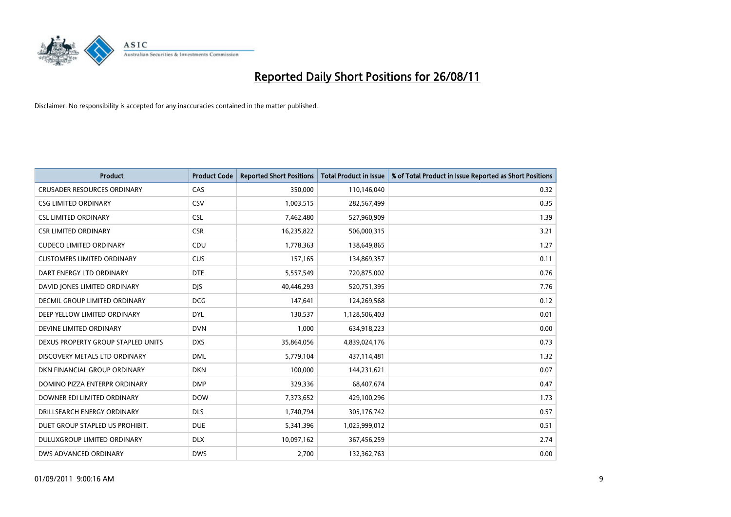

| <b>Product</b>                       | <b>Product Code</b> | <b>Reported Short Positions</b> | <b>Total Product in Issue</b> | % of Total Product in Issue Reported as Short Positions |
|--------------------------------------|---------------------|---------------------------------|-------------------------------|---------------------------------------------------------|
| <b>CRUSADER RESOURCES ORDINARY</b>   | CAS                 | 350,000                         | 110,146,040                   | 0.32                                                    |
| <b>CSG LIMITED ORDINARY</b>          | CSV                 | 1,003,515                       | 282,567,499                   | 0.35                                                    |
| <b>CSL LIMITED ORDINARY</b>          | <b>CSL</b>          | 7,462,480                       | 527,960,909                   | 1.39                                                    |
| <b>CSR LIMITED ORDINARY</b>          | <b>CSR</b>          | 16,235,822                      | 506,000,315                   | 3.21                                                    |
| <b>CUDECO LIMITED ORDINARY</b>       | CDU                 | 1,778,363                       | 138,649,865                   | 1.27                                                    |
| <b>CUSTOMERS LIMITED ORDINARY</b>    | <b>CUS</b>          | 157,165                         | 134,869,357                   | 0.11                                                    |
| DART ENERGY LTD ORDINARY             | <b>DTE</b>          | 5,557,549                       | 720,875,002                   | 0.76                                                    |
| DAVID JONES LIMITED ORDINARY         | <b>DJS</b>          | 40,446,293                      | 520,751,395                   | 7.76                                                    |
| <b>DECMIL GROUP LIMITED ORDINARY</b> | <b>DCG</b>          | 147,641                         | 124,269,568                   | 0.12                                                    |
| DEEP YELLOW LIMITED ORDINARY         | <b>DYL</b>          | 130,537                         | 1,128,506,403                 | 0.01                                                    |
| DEVINE LIMITED ORDINARY              | <b>DVN</b>          | 1,000                           | 634,918,223                   | 0.00                                                    |
| DEXUS PROPERTY GROUP STAPLED UNITS   | <b>DXS</b>          | 35,864,056                      | 4,839,024,176                 | 0.73                                                    |
| DISCOVERY METALS LTD ORDINARY        | <b>DML</b>          | 5,779,104                       | 437,114,481                   | 1.32                                                    |
| DKN FINANCIAL GROUP ORDINARY         | <b>DKN</b>          | 100.000                         | 144,231,621                   | 0.07                                                    |
| DOMINO PIZZA ENTERPR ORDINARY        | <b>DMP</b>          | 329,336                         | 68,407,674                    | 0.47                                                    |
| DOWNER EDI LIMITED ORDINARY          | <b>DOW</b>          | 7,373,652                       | 429,100,296                   | 1.73                                                    |
| DRILLSEARCH ENERGY ORDINARY          | <b>DLS</b>          | 1,740,794                       | 305,176,742                   | 0.57                                                    |
| DUET GROUP STAPLED US PROHIBIT.      | <b>DUE</b>          | 5,341,396                       | 1,025,999,012                 | 0.51                                                    |
| DULUXGROUP LIMITED ORDINARY          | <b>DLX</b>          | 10,097,162                      | 367,456,259                   | 2.74                                                    |
| DWS ADVANCED ORDINARY                | <b>DWS</b>          | 2.700                           | 132,362,763                   | 0.00                                                    |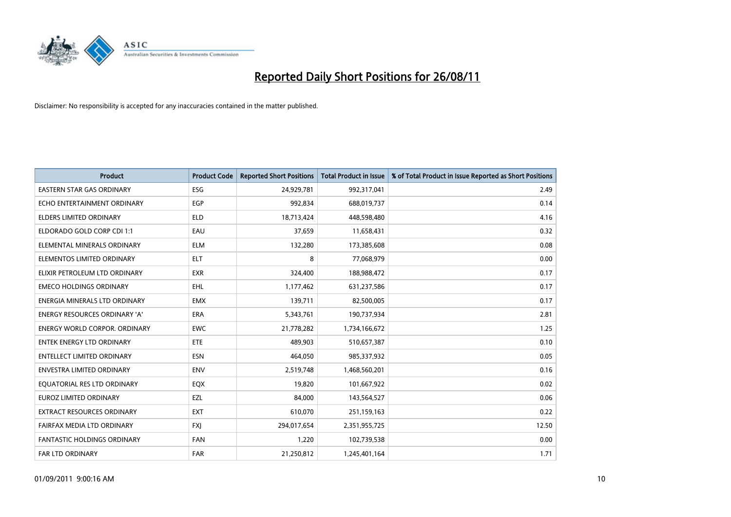

| <b>Product</b>                       | <b>Product Code</b> | <b>Reported Short Positions</b> | <b>Total Product in Issue</b> | % of Total Product in Issue Reported as Short Positions |
|--------------------------------------|---------------------|---------------------------------|-------------------------------|---------------------------------------------------------|
| <b>EASTERN STAR GAS ORDINARY</b>     | <b>ESG</b>          | 24,929,781                      | 992,317,041                   | 2.49                                                    |
| ECHO ENTERTAINMENT ORDINARY          | <b>EGP</b>          | 992,834                         | 688,019,737                   | 0.14                                                    |
| ELDERS LIMITED ORDINARY              | <b>ELD</b>          | 18,713,424                      | 448,598,480                   | 4.16                                                    |
| ELDORADO GOLD CORP CDI 1:1           | EAU                 | 37,659                          | 11,658,431                    | 0.32                                                    |
| ELEMENTAL MINERALS ORDINARY          | <b>ELM</b>          | 132,280                         | 173,385,608                   | 0.08                                                    |
| ELEMENTOS LIMITED ORDINARY           | <b>ELT</b>          | 8                               | 77,068,979                    | 0.00                                                    |
| ELIXIR PETROLEUM LTD ORDINARY        | <b>EXR</b>          | 324,400                         | 188,988,472                   | 0.17                                                    |
| <b>EMECO HOLDINGS ORDINARY</b>       | EHL                 | 1,177,462                       | 631,237,586                   | 0.17                                                    |
| ENERGIA MINERALS LTD ORDINARY        | <b>EMX</b>          | 139,711                         | 82,500,005                    | 0.17                                                    |
| <b>ENERGY RESOURCES ORDINARY 'A'</b> | ERA                 | 5,343,761                       | 190,737,934                   | 2.81                                                    |
| ENERGY WORLD CORPOR. ORDINARY        | <b>EWC</b>          | 21,778,282                      | 1,734,166,672                 | 1.25                                                    |
| ENTEK ENERGY LTD ORDINARY            | ETE                 | 489,903                         | 510,657,387                   | 0.10                                                    |
| <b>ENTELLECT LIMITED ORDINARY</b>    | <b>ESN</b>          | 464,050                         | 985,337,932                   | 0.05                                                    |
| <b>ENVESTRA LIMITED ORDINARY</b>     | <b>ENV</b>          | 2,519,748                       | 1,468,560,201                 | 0.16                                                    |
| EQUATORIAL RES LTD ORDINARY          | EQX                 | 19,820                          | 101,667,922                   | 0.02                                                    |
| <b>EUROZ LIMITED ORDINARY</b>        | EZL                 | 84,000                          | 143,564,527                   | 0.06                                                    |
| EXTRACT RESOURCES ORDINARY           | <b>EXT</b>          | 610,070                         | 251,159,163                   | 0.22                                                    |
| FAIRFAX MEDIA LTD ORDINARY           | <b>FXI</b>          | 294,017,654                     | 2,351,955,725                 | 12.50                                                   |
| <b>FANTASTIC HOLDINGS ORDINARY</b>   | <b>FAN</b>          | 1,220                           | 102,739,538                   | 0.00                                                    |
| <b>FAR LTD ORDINARY</b>              | <b>FAR</b>          | 21,250,812                      | 1,245,401,164                 | 1.71                                                    |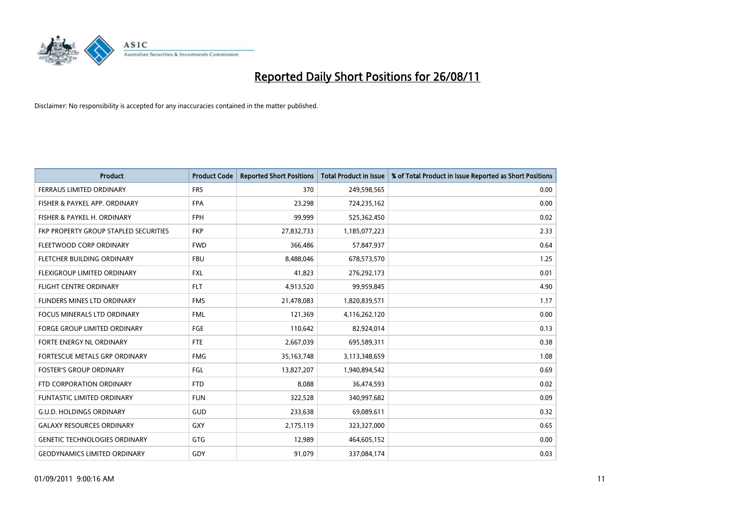

| <b>Product</b>                        | <b>Product Code</b> | <b>Reported Short Positions</b> | Total Product in Issue | % of Total Product in Issue Reported as Short Positions |
|---------------------------------------|---------------------|---------------------------------|------------------------|---------------------------------------------------------|
| FERRAUS LIMITED ORDINARY              | <b>FRS</b>          | 370                             | 249,598,565            | 0.00                                                    |
| FISHER & PAYKEL APP. ORDINARY         | <b>FPA</b>          | 23,298                          | 724,235,162            | 0.00                                                    |
| FISHER & PAYKEL H. ORDINARY           | <b>FPH</b>          | 99.999                          | 525,362,450            | 0.02                                                    |
| FKP PROPERTY GROUP STAPLED SECURITIES | <b>FKP</b>          | 27,832,733                      | 1,185,077,223          | 2.33                                                    |
| FLEETWOOD CORP ORDINARY               | <b>FWD</b>          | 366,486                         | 57,847,937             | 0.64                                                    |
| FLETCHER BUILDING ORDINARY            | <b>FBU</b>          | 8,488,046                       | 678,573,570            | 1.25                                                    |
| <b>FLEXIGROUP LIMITED ORDINARY</b>    | <b>FXL</b>          | 41,823                          | 276,292,173            | 0.01                                                    |
| <b>FLIGHT CENTRE ORDINARY</b>         | <b>FLT</b>          | 4,913,520                       | 99,959,845             | 4.90                                                    |
| FLINDERS MINES LTD ORDINARY           | <b>FMS</b>          | 21,478,083                      | 1,820,839,571          | 1.17                                                    |
| <b>FOCUS MINERALS LTD ORDINARY</b>    | <b>FML</b>          | 121,369                         | 4,116,262,120          | 0.00                                                    |
| <b>FORGE GROUP LIMITED ORDINARY</b>   | <b>FGE</b>          | 110,642                         | 82,924,014             | 0.13                                                    |
| FORTE ENERGY NL ORDINARY              | <b>FTE</b>          | 2,667,039                       | 695,589,311            | 0.38                                                    |
| FORTESCUE METALS GRP ORDINARY         | <b>FMG</b>          | 35, 163, 748                    | 3,113,348,659          | 1.08                                                    |
| <b>FOSTER'S GROUP ORDINARY</b>        | FGL                 | 13,827,207                      | 1,940,894,542          | 0.69                                                    |
| FTD CORPORATION ORDINARY              | <b>FTD</b>          | 8,088                           | 36,474,593             | 0.02                                                    |
| <b>FUNTASTIC LIMITED ORDINARY</b>     | <b>FUN</b>          | 322,528                         | 340,997,682            | 0.09                                                    |
| <b>G.U.D. HOLDINGS ORDINARY</b>       | <b>GUD</b>          | 233,638                         | 69,089,611             | 0.32                                                    |
| <b>GALAXY RESOURCES ORDINARY</b>      | GXY                 | 2,175,119                       | 323,327,000            | 0.65                                                    |
| <b>GENETIC TECHNOLOGIES ORDINARY</b>  | GTG                 | 12,989                          | 464,605,152            | 0.00                                                    |
| <b>GEODYNAMICS LIMITED ORDINARY</b>   | GDY                 | 91,079                          | 337,084,174            | 0.03                                                    |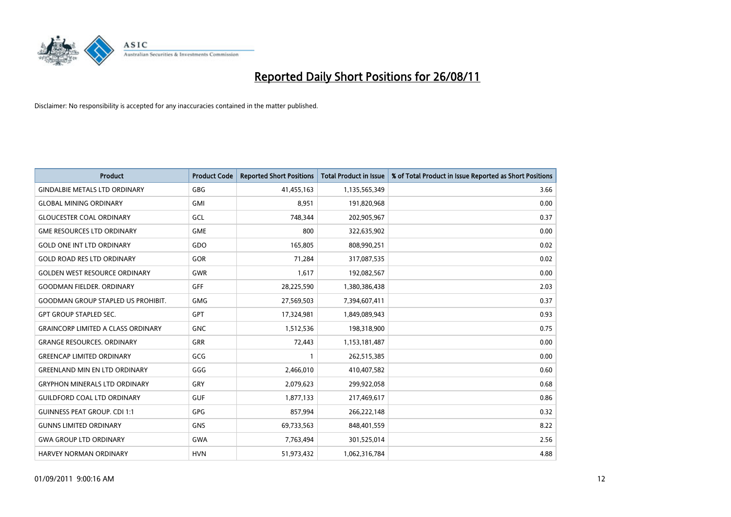

| <b>Product</b>                            | <b>Product Code</b> | <b>Reported Short Positions</b> | <b>Total Product in Issue</b> | % of Total Product in Issue Reported as Short Positions |
|-------------------------------------------|---------------------|---------------------------------|-------------------------------|---------------------------------------------------------|
| <b>GINDALBIE METALS LTD ORDINARY</b>      | <b>GBG</b>          | 41,455,163                      | 1,135,565,349                 | 3.66                                                    |
| <b>GLOBAL MINING ORDINARY</b>             | <b>GMI</b>          | 8,951                           | 191,820,968                   | 0.00                                                    |
| <b>GLOUCESTER COAL ORDINARY</b>           | GCL                 | 748.344                         | 202,905,967                   | 0.37                                                    |
| <b>GME RESOURCES LTD ORDINARY</b>         | <b>GME</b>          | 800                             | 322,635,902                   | 0.00                                                    |
| <b>GOLD ONE INT LTD ORDINARY</b>          | GDO                 | 165,805                         | 808,990,251                   | 0.02                                                    |
| <b>GOLD ROAD RES LTD ORDINARY</b>         | GOR                 | 71,284                          | 317,087,535                   | 0.02                                                    |
| <b>GOLDEN WEST RESOURCE ORDINARY</b>      | <b>GWR</b>          | 1,617                           | 192,082,567                   | 0.00                                                    |
| <b>GOODMAN FIELDER, ORDINARY</b>          | <b>GFF</b>          | 28,225,590                      | 1,380,386,438                 | 2.03                                                    |
| <b>GOODMAN GROUP STAPLED US PROHIBIT.</b> | <b>GMG</b>          | 27,569,503                      | 7,394,607,411                 | 0.37                                                    |
| <b>GPT GROUP STAPLED SEC.</b>             | <b>GPT</b>          | 17,324,981                      | 1,849,089,943                 | 0.93                                                    |
| <b>GRAINCORP LIMITED A CLASS ORDINARY</b> | <b>GNC</b>          | 1,512,536                       | 198,318,900                   | 0.75                                                    |
| <b>GRANGE RESOURCES, ORDINARY</b>         | <b>GRR</b>          | 72,443                          | 1,153,181,487                 | 0.00                                                    |
| <b>GREENCAP LIMITED ORDINARY</b>          | GCG                 |                                 | 262,515,385                   | 0.00                                                    |
| <b>GREENLAND MIN EN LTD ORDINARY</b>      | GGG                 | 2,466,010                       | 410,407,582                   | 0.60                                                    |
| <b>GRYPHON MINERALS LTD ORDINARY</b>      | GRY                 | 2,079,623                       | 299,922,058                   | 0.68                                                    |
| <b>GUILDFORD COAL LTD ORDINARY</b>        | <b>GUF</b>          | 1,877,133                       | 217,469,617                   | 0.86                                                    |
| <b>GUINNESS PEAT GROUP. CDI 1:1</b>       | GPG                 | 857,994                         | 266,222,148                   | 0.32                                                    |
| <b>GUNNS LIMITED ORDINARY</b>             | <b>GNS</b>          | 69,733,563                      | 848,401,559                   | 8.22                                                    |
| <b>GWA GROUP LTD ORDINARY</b>             | <b>GWA</b>          | 7,763,494                       | 301,525,014                   | 2.56                                                    |
| <b>HARVEY NORMAN ORDINARY</b>             | <b>HVN</b>          | 51,973,432                      | 1,062,316,784                 | 4.88                                                    |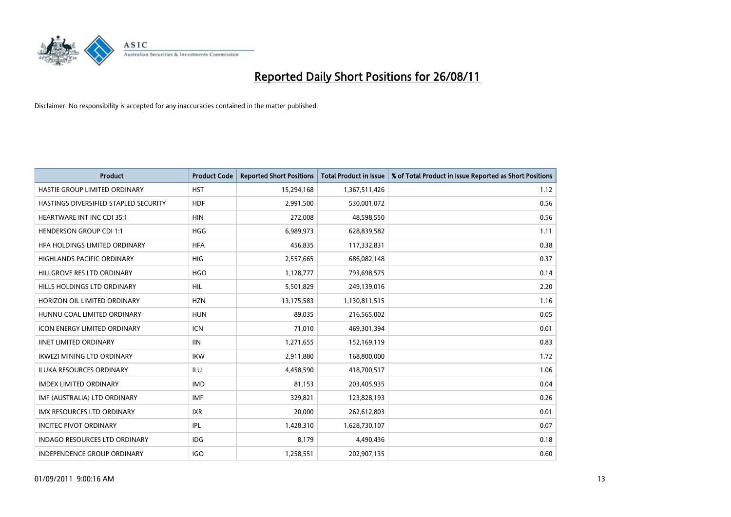

| <b>Product</b>                        | <b>Product Code</b> | <b>Reported Short Positions</b> | <b>Total Product in Issue</b> | % of Total Product in Issue Reported as Short Positions |
|---------------------------------------|---------------------|---------------------------------|-------------------------------|---------------------------------------------------------|
| HASTIE GROUP LIMITED ORDINARY         | <b>HST</b>          | 15,294,168                      | 1,367,511,426                 | 1.12                                                    |
| HASTINGS DIVERSIFIED STAPLED SECURITY | <b>HDF</b>          | 2,991,500                       | 530,001,072                   | 0.56                                                    |
| <b>HEARTWARE INT INC CDI 35:1</b>     | <b>HIN</b>          | 272,008                         | 48,598,550                    | 0.56                                                    |
| <b>HENDERSON GROUP CDI 1:1</b>        | <b>HGG</b>          | 6,989,973                       | 628,839,582                   | 1.11                                                    |
| HEA HOLDINGS LIMITED ORDINARY         | <b>HFA</b>          | 456,835                         | 117,332,831                   | 0.38                                                    |
| <b>HIGHLANDS PACIFIC ORDINARY</b>     | <b>HIG</b>          | 2,557,665                       | 686,082,148                   | 0.37                                                    |
| HILLGROVE RES LTD ORDINARY            | <b>HGO</b>          | 1,128,777                       | 793,698,575                   | 0.14                                                    |
| HILLS HOLDINGS LTD ORDINARY           | <b>HIL</b>          | 5,501,829                       | 249,139,016                   | 2.20                                                    |
| HORIZON OIL LIMITED ORDINARY          | <b>HZN</b>          | 13,175,583                      | 1,130,811,515                 | 1.16                                                    |
| HUNNU COAL LIMITED ORDINARY           | <b>HUN</b>          | 89,035                          | 216,565,002                   | 0.05                                                    |
| <b>ICON ENERGY LIMITED ORDINARY</b>   | <b>ICN</b>          | 71,010                          | 469,301,394                   | 0.01                                                    |
| <b>IINET LIMITED ORDINARY</b>         | <b>IIN</b>          | 1,271,655                       | 152,169,119                   | 0.83                                                    |
| <b>IKWEZI MINING LTD ORDINARY</b>     | <b>IKW</b>          | 2,911,880                       | 168,800,000                   | 1.72                                                    |
| <b>ILUKA RESOURCES ORDINARY</b>       | <b>ILU</b>          | 4,458,590                       | 418,700,517                   | 1.06                                                    |
| <b>IMDEX LIMITED ORDINARY</b>         | <b>IMD</b>          | 81,153                          | 203,405,935                   | 0.04                                                    |
| IMF (AUSTRALIA) LTD ORDINARY          | <b>IMF</b>          | 329,821                         | 123,828,193                   | 0.26                                                    |
| <b>IMX RESOURCES LTD ORDINARY</b>     | <b>IXR</b>          | 20,000                          | 262,612,803                   | 0.01                                                    |
| <b>INCITEC PIVOT ORDINARY</b>         | IPL                 | 1,428,310                       | 1,628,730,107                 | 0.07                                                    |
| <b>INDAGO RESOURCES LTD ORDINARY</b>  | <b>IDG</b>          | 8,179                           | 4,490,436                     | 0.18                                                    |
| INDEPENDENCE GROUP ORDINARY           | <b>IGO</b>          | 1,258,551                       | 202,907,135                   | 0.60                                                    |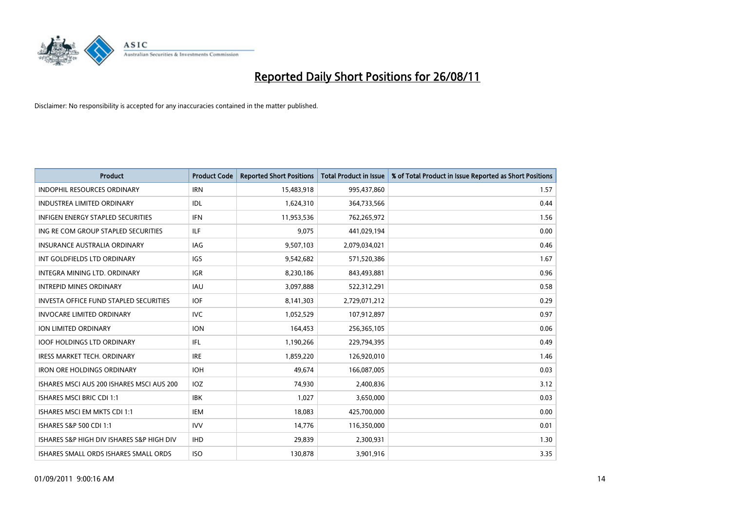

| <b>Product</b>                               | <b>Product Code</b> | <b>Reported Short Positions</b> | <b>Total Product in Issue</b> | % of Total Product in Issue Reported as Short Positions |
|----------------------------------------------|---------------------|---------------------------------|-------------------------------|---------------------------------------------------------|
| <b>INDOPHIL RESOURCES ORDINARY</b>           | <b>IRN</b>          | 15,483,918                      | 995,437,860                   | 1.57                                                    |
| <b>INDUSTREA LIMITED ORDINARY</b>            | IDL                 | 1,624,310                       | 364,733,566                   | 0.44                                                    |
| <b>INFIGEN ENERGY STAPLED SECURITIES</b>     | <b>IFN</b>          | 11,953,536                      | 762,265,972                   | 1.56                                                    |
| ING RE COM GROUP STAPLED SECURITIES          | <b>ILF</b>          | 9,075                           | 441,029,194                   | 0.00                                                    |
| <b>INSURANCE AUSTRALIA ORDINARY</b>          | <b>IAG</b>          | 9,507,103                       | 2,079,034,021                 | 0.46                                                    |
| INT GOLDFIELDS LTD ORDINARY                  | <b>IGS</b>          | 9,542,682                       | 571,520,386                   | 1.67                                                    |
| <b>INTEGRA MINING LTD, ORDINARY</b>          | <b>IGR</b>          | 8,230,186                       | 843,493,881                   | 0.96                                                    |
| <b>INTREPID MINES ORDINARY</b>               | <b>IAU</b>          | 3,097,888                       | 522,312,291                   | 0.58                                                    |
| INVESTA OFFICE FUND STAPLED SECURITIES       | <b>IOF</b>          | 8,141,303                       | 2,729,071,212                 | 0.29                                                    |
| <b>INVOCARE LIMITED ORDINARY</b>             | <b>IVC</b>          | 1,052,529                       | 107,912,897                   | 0.97                                                    |
| ION LIMITED ORDINARY                         | <b>ION</b>          | 164,453                         | 256,365,105                   | 0.06                                                    |
| <b>IOOF HOLDINGS LTD ORDINARY</b>            | <b>IFL</b>          | 1,190,266                       | 229,794,395                   | 0.49                                                    |
| <b>IRESS MARKET TECH. ORDINARY</b>           | <b>IRE</b>          | 1,859,220                       | 126,920,010                   | 1.46                                                    |
| <b>IRON ORE HOLDINGS ORDINARY</b>            | <b>IOH</b>          | 49,674                          | 166,087,005                   | 0.03                                                    |
| ISHARES MSCI AUS 200 ISHARES MSCI AUS 200    | <b>IOZ</b>          | 74,930                          | 2,400,836                     | 3.12                                                    |
| <b>ISHARES MSCI BRIC CDI 1:1</b>             | <b>IBK</b>          | 1,027                           | 3,650,000                     | 0.03                                                    |
| ISHARES MSCI EM MKTS CDI 1:1                 | <b>IEM</b>          | 18,083                          | 425,700,000                   | 0.00                                                    |
| ISHARES S&P 500 CDI 1:1                      | <b>IVV</b>          | 14,776                          | 116,350,000                   | 0.01                                                    |
| ISHARES S&P HIGH DIV ISHARES S&P HIGH DIV    | <b>IHD</b>          | 29,839                          | 2,300,931                     | 1.30                                                    |
| <b>ISHARES SMALL ORDS ISHARES SMALL ORDS</b> | <b>ISO</b>          | 130,878                         | 3,901,916                     | 3.35                                                    |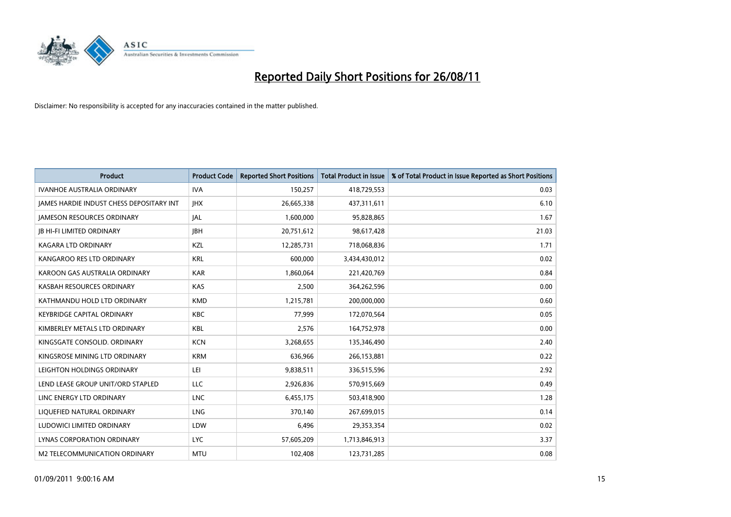

| <b>Product</b>                           | <b>Product Code</b> | <b>Reported Short Positions</b> | <b>Total Product in Issue</b> | % of Total Product in Issue Reported as Short Positions |
|------------------------------------------|---------------------|---------------------------------|-------------------------------|---------------------------------------------------------|
| <b>IVANHOE AUSTRALIA ORDINARY</b>        | <b>IVA</b>          | 150,257                         | 418,729,553                   | 0.03                                                    |
| JAMES HARDIE INDUST CHESS DEPOSITARY INT | <b>IHX</b>          | 26,665,338                      | 437,311,611                   | 6.10                                                    |
| <b>JAMESON RESOURCES ORDINARY</b>        | IAL                 | 1,600,000                       | 95,828,865                    | 1.67                                                    |
| <b>JB HI-FI LIMITED ORDINARY</b>         | <b>IBH</b>          | 20,751,612                      | 98,617,428                    | 21.03                                                   |
| <b>KAGARA LTD ORDINARY</b>               | KZL                 | 12,285,731                      | 718,068,836                   | 1.71                                                    |
| KANGAROO RES LTD ORDINARY                | <b>KRL</b>          | 600,000                         | 3,434,430,012                 | 0.02                                                    |
| KAROON GAS AUSTRALIA ORDINARY            | <b>KAR</b>          | 1,860,064                       | 221,420,769                   | 0.84                                                    |
| KASBAH RESOURCES ORDINARY                | <b>KAS</b>          | 2,500                           | 364,262,596                   | 0.00                                                    |
| KATHMANDU HOLD LTD ORDINARY              | <b>KMD</b>          | 1,215,781                       | 200,000,000                   | 0.60                                                    |
| <b>KEYBRIDGE CAPITAL ORDINARY</b>        | <b>KBC</b>          | 77,999                          | 172,070,564                   | 0.05                                                    |
| KIMBERLEY METALS LTD ORDINARY            | <b>KBL</b>          | 2,576                           | 164,752,978                   | 0.00                                                    |
| KINGSGATE CONSOLID, ORDINARY             | <b>KCN</b>          | 3,268,655                       | 135,346,490                   | 2.40                                                    |
| KINGSROSE MINING LTD ORDINARY            | <b>KRM</b>          | 636,966                         | 266,153,881                   | 0.22                                                    |
| LEIGHTON HOLDINGS ORDINARY               | LEI                 | 9,838,511                       | 336,515,596                   | 2.92                                                    |
| LEND LEASE GROUP UNIT/ORD STAPLED        | <b>LLC</b>          | 2,926,836                       | 570,915,669                   | 0.49                                                    |
| LINC ENERGY LTD ORDINARY                 | <b>LNC</b>          | 6,455,175                       | 503,418,900                   | 1.28                                                    |
| LIQUEFIED NATURAL ORDINARY               | LNG                 | 370,140                         | 267,699,015                   | 0.14                                                    |
| LUDOWICI LIMITED ORDINARY                | LDW                 | 6,496                           | 29,353,354                    | 0.02                                                    |
| <b>LYNAS CORPORATION ORDINARY</b>        | <b>LYC</b>          | 57,605,209                      | 1,713,846,913                 | 3.37                                                    |
| M2 TELECOMMUNICATION ORDINARY            | <b>MTU</b>          | 102,408                         | 123,731,285                   | 0.08                                                    |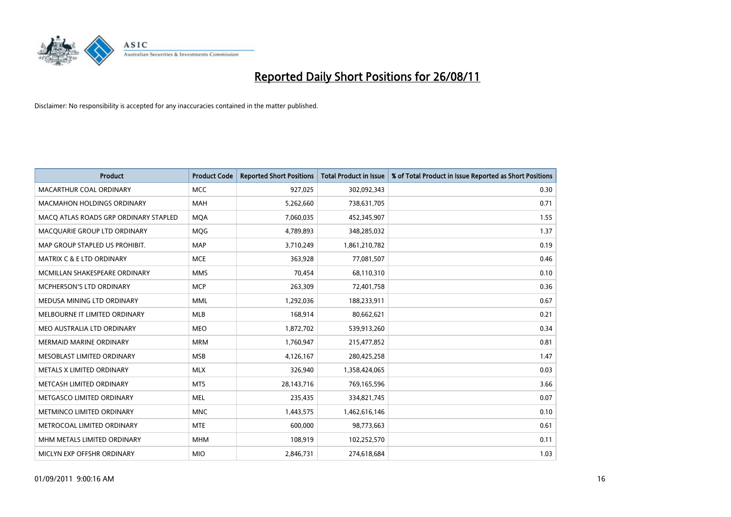

| <b>Product</b>                        | <b>Product Code</b> | <b>Reported Short Positions</b> | <b>Total Product in Issue</b> | % of Total Product in Issue Reported as Short Positions |
|---------------------------------------|---------------------|---------------------------------|-------------------------------|---------------------------------------------------------|
| MACARTHUR COAL ORDINARY               | <b>MCC</b>          | 927,025                         | 302,092,343                   | 0.30                                                    |
| <b>MACMAHON HOLDINGS ORDINARY</b>     | <b>MAH</b>          | 5,262,660                       | 738,631,705                   | 0.71                                                    |
| MACO ATLAS ROADS GRP ORDINARY STAPLED | <b>MOA</b>          | 7,060,035                       | 452,345,907                   | 1.55                                                    |
| MACQUARIE GROUP LTD ORDINARY          | <b>MOG</b>          | 4,789,893                       | 348,285,032                   | 1.37                                                    |
| MAP GROUP STAPLED US PROHIBIT.        | <b>MAP</b>          | 3,710,249                       | 1,861,210,782                 | 0.19                                                    |
| MATRIX C & E LTD ORDINARY             | <b>MCE</b>          | 363,928                         | 77,081,507                    | 0.46                                                    |
| MCMILLAN SHAKESPEARE ORDINARY         | <b>MMS</b>          | 70,454                          | 68,110,310                    | 0.10                                                    |
| MCPHERSON'S LTD ORDINARY              | <b>MCP</b>          | 263,309                         | 72,401,758                    | 0.36                                                    |
| MEDUSA MINING LTD ORDINARY            | <b>MML</b>          | 1,292,036                       | 188,233,911                   | 0.67                                                    |
| MELBOURNE IT LIMITED ORDINARY         | <b>MLB</b>          | 168,914                         | 80,662,621                    | 0.21                                                    |
| MEO AUSTRALIA LTD ORDINARY            | <b>MEO</b>          | 1,872,702                       | 539,913,260                   | 0.34                                                    |
| MERMAID MARINE ORDINARY               | <b>MRM</b>          | 1,760,947                       | 215,477,852                   | 0.81                                                    |
| MESOBLAST LIMITED ORDINARY            | <b>MSB</b>          | 4,126,167                       | 280,425,258                   | 1.47                                                    |
| METALS X LIMITED ORDINARY             | <b>MLX</b>          | 326,940                         | 1,358,424,065                 | 0.03                                                    |
| METCASH LIMITED ORDINARY              | <b>MTS</b>          | 28,143,716                      | 769,165,596                   | 3.66                                                    |
| METGASCO LIMITED ORDINARY             | <b>MEL</b>          | 235,435                         | 334,821,745                   | 0.07                                                    |
| METMINCO LIMITED ORDINARY             | <b>MNC</b>          | 1,443,575                       | 1,462,616,146                 | 0.10                                                    |
| METROCOAL LIMITED ORDINARY            | <b>MTE</b>          | 600,000                         | 98,773,663                    | 0.61                                                    |
| MHM METALS LIMITED ORDINARY           | <b>MHM</b>          | 108,919                         | 102,252,570                   | 0.11                                                    |
| MICLYN EXP OFFSHR ORDINARY            | <b>MIO</b>          | 2,846,731                       | 274,618,684                   | 1.03                                                    |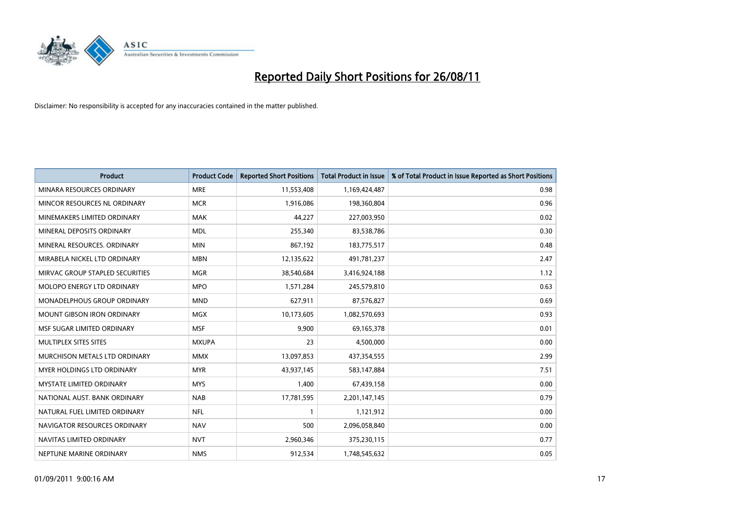

| <b>Product</b>                    | <b>Product Code</b> | <b>Reported Short Positions</b> | Total Product in Issue | % of Total Product in Issue Reported as Short Positions |
|-----------------------------------|---------------------|---------------------------------|------------------------|---------------------------------------------------------|
| MINARA RESOURCES ORDINARY         | <b>MRE</b>          | 11,553,408                      | 1,169,424,487          | 0.98                                                    |
| MINCOR RESOURCES NL ORDINARY      | <b>MCR</b>          | 1,916,086                       | 198,360,804            | 0.96                                                    |
| MINEMAKERS LIMITED ORDINARY       | <b>MAK</b>          | 44,227                          | 227,003,950            | 0.02                                                    |
| MINERAL DEPOSITS ORDINARY         | <b>MDL</b>          | 255,340                         | 83,538,786             | 0.30                                                    |
| MINERAL RESOURCES, ORDINARY       | <b>MIN</b>          | 867,192                         | 183,775,517            | 0.48                                                    |
| MIRABELA NICKEL LTD ORDINARY      | <b>MBN</b>          | 12,135,622                      | 491,781,237            | 2.47                                                    |
| MIRVAC GROUP STAPLED SECURITIES   | <b>MGR</b>          | 38,540,684                      | 3,416,924,188          | 1.12                                                    |
| <b>MOLOPO ENERGY LTD ORDINARY</b> | <b>MPO</b>          | 1,571,284                       | 245,579,810            | 0.63                                                    |
| MONADELPHOUS GROUP ORDINARY       | <b>MND</b>          | 627,911                         | 87,576,827             | 0.69                                                    |
| <b>MOUNT GIBSON IRON ORDINARY</b> | <b>MGX</b>          | 10,173,605                      | 1,082,570,693          | 0.93                                                    |
| MSF SUGAR LIMITED ORDINARY        | <b>MSF</b>          | 9,900                           | 69,165,378             | 0.01                                                    |
| MULTIPLEX SITES SITES             | <b>MXUPA</b>        | 23                              | 4,500,000              | 0.00                                                    |
| MURCHISON METALS LTD ORDINARY     | <b>MMX</b>          | 13,097,853                      | 437,354,555            | 2.99                                                    |
| <b>MYER HOLDINGS LTD ORDINARY</b> | <b>MYR</b>          | 43,937,145                      | 583,147,884            | 7.51                                                    |
| <b>MYSTATE LIMITED ORDINARY</b>   | <b>MYS</b>          | 1,400                           | 67,439,158             | 0.00                                                    |
| NATIONAL AUST. BANK ORDINARY      | <b>NAB</b>          | 17,781,595                      | 2,201,147,145          | 0.79                                                    |
| NATURAL FUEL LIMITED ORDINARY     | <b>NFL</b>          |                                 | 1,121,912              | 0.00                                                    |
| NAVIGATOR RESOURCES ORDINARY      | <b>NAV</b>          | 500                             | 2,096,058,840          | 0.00                                                    |
| NAVITAS LIMITED ORDINARY          | <b>NVT</b>          | 2,960,346                       | 375,230,115            | 0.77                                                    |
| NEPTUNE MARINE ORDINARY           | <b>NMS</b>          | 912,534                         | 1,748,545,632          | 0.05                                                    |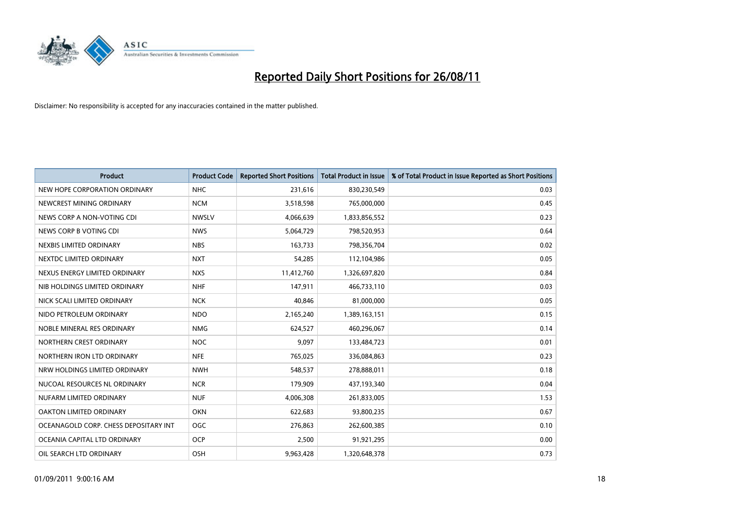

| <b>Product</b>                        | <b>Product Code</b> | <b>Reported Short Positions</b> | <b>Total Product in Issue</b> | % of Total Product in Issue Reported as Short Positions |
|---------------------------------------|---------------------|---------------------------------|-------------------------------|---------------------------------------------------------|
| NEW HOPE CORPORATION ORDINARY         | <b>NHC</b>          | 231,616                         | 830,230,549                   | 0.03                                                    |
| NEWCREST MINING ORDINARY              | <b>NCM</b>          | 3,518,598                       | 765,000,000                   | 0.45                                                    |
| NEWS CORP A NON-VOTING CDI            | <b>NWSLV</b>        | 4,066,639                       | 1,833,856,552                 | 0.23                                                    |
| NEWS CORP B VOTING CDI                | <b>NWS</b>          | 5,064,729                       | 798,520,953                   | 0.64                                                    |
| NEXBIS LIMITED ORDINARY               | <b>NBS</b>          | 163,733                         | 798,356,704                   | 0.02                                                    |
| NEXTDC LIMITED ORDINARY               | <b>NXT</b>          | 54,285                          | 112,104,986                   | 0.05                                                    |
| NEXUS ENERGY LIMITED ORDINARY         | <b>NXS</b>          | 11,412,760                      | 1,326,697,820                 | 0.84                                                    |
| NIB HOLDINGS LIMITED ORDINARY         | <b>NHF</b>          | 147,911                         | 466,733,110                   | 0.03                                                    |
| NICK SCALI LIMITED ORDINARY           | <b>NCK</b>          | 40,846                          | 81,000,000                    | 0.05                                                    |
| NIDO PETROLEUM ORDINARY               | <b>NDO</b>          | 2,165,240                       | 1,389,163,151                 | 0.15                                                    |
| NOBLE MINERAL RES ORDINARY            | <b>NMG</b>          | 624,527                         | 460,296,067                   | 0.14                                                    |
| NORTHERN CREST ORDINARY               | <b>NOC</b>          | 9,097                           | 133,484,723                   | 0.01                                                    |
| NORTHERN IRON LTD ORDINARY            | <b>NFE</b>          | 765,025                         | 336,084,863                   | 0.23                                                    |
| NRW HOLDINGS LIMITED ORDINARY         | <b>NWH</b>          | 548,537                         | 278,888,011                   | 0.18                                                    |
| NUCOAL RESOURCES NL ORDINARY          | <b>NCR</b>          | 179,909                         | 437,193,340                   | 0.04                                                    |
| NUFARM LIMITED ORDINARY               | <b>NUF</b>          | 4,006,308                       | 261,833,005                   | 1.53                                                    |
| OAKTON LIMITED ORDINARY               | <b>OKN</b>          | 622,683                         | 93,800,235                    | 0.67                                                    |
| OCEANAGOLD CORP. CHESS DEPOSITARY INT | <b>OGC</b>          | 276,863                         | 262,600,385                   | 0.10                                                    |
| OCEANIA CAPITAL LTD ORDINARY          | <b>OCP</b>          | 2,500                           | 91,921,295                    | 0.00                                                    |
| OIL SEARCH LTD ORDINARY               | <b>OSH</b>          | 9,963,428                       | 1,320,648,378                 | 0.73                                                    |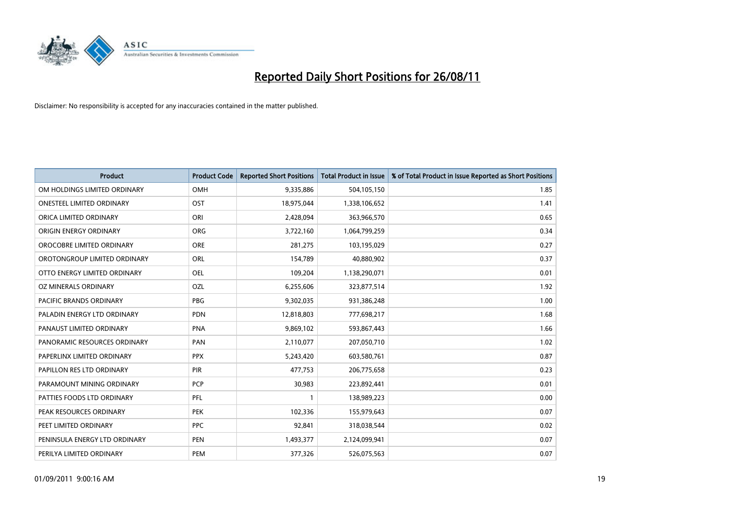

| <b>Product</b>                 | <b>Product Code</b> | <b>Reported Short Positions</b> | <b>Total Product in Issue</b> | % of Total Product in Issue Reported as Short Positions |
|--------------------------------|---------------------|---------------------------------|-------------------------------|---------------------------------------------------------|
| OM HOLDINGS LIMITED ORDINARY   | OMH                 | 9,335,886                       | 504,105,150                   | 1.85                                                    |
| ONESTEEL LIMITED ORDINARY      | OST                 | 18,975,044                      | 1,338,106,652                 | 1.41                                                    |
| ORICA LIMITED ORDINARY         | ORI                 | 2,428,094                       | 363,966,570                   | 0.65                                                    |
| ORIGIN ENERGY ORDINARY         | <b>ORG</b>          | 3,722,160                       | 1,064,799,259                 | 0.34                                                    |
| OROCOBRE LIMITED ORDINARY      | <b>ORE</b>          | 281,275                         | 103,195,029                   | 0.27                                                    |
| OROTONGROUP LIMITED ORDINARY   | <b>ORL</b>          | 154,789                         | 40,880,902                    | 0.37                                                    |
| OTTO ENERGY LIMITED ORDINARY   | <b>OEL</b>          | 109,204                         | 1,138,290,071                 | 0.01                                                    |
| OZ MINERALS ORDINARY           | <b>OZL</b>          | 6,255,606                       | 323,877,514                   | 1.92                                                    |
| <b>PACIFIC BRANDS ORDINARY</b> | <b>PBG</b>          | 9,302,035                       | 931,386,248                   | 1.00                                                    |
| PALADIN ENERGY LTD ORDINARY    | <b>PDN</b>          | 12,818,803                      | 777,698,217                   | 1.68                                                    |
| PANAUST LIMITED ORDINARY       | <b>PNA</b>          | 9,869,102                       | 593,867,443                   | 1.66                                                    |
| PANORAMIC RESOURCES ORDINARY   | PAN                 | 2,110,077                       | 207,050,710                   | 1.02                                                    |
| PAPERLINX LIMITED ORDINARY     | <b>PPX</b>          | 5,243,420                       | 603,580,761                   | 0.87                                                    |
| PAPILLON RES LTD ORDINARY      | PIR                 | 477,753                         | 206,775,658                   | 0.23                                                    |
| PARAMOUNT MINING ORDINARY      | <b>PCP</b>          | 30,983                          | 223,892,441                   | 0.01                                                    |
| PATTIES FOODS LTD ORDINARY     | PFL                 |                                 | 138,989,223                   | 0.00                                                    |
| PEAK RESOURCES ORDINARY        | <b>PEK</b>          | 102,336                         | 155,979,643                   | 0.07                                                    |
| PEET LIMITED ORDINARY          | <b>PPC</b>          | 92,841                          | 318,038,544                   | 0.02                                                    |
| PENINSULA ENERGY LTD ORDINARY  | <b>PEN</b>          | 1,493,377                       | 2,124,099,941                 | 0.07                                                    |
| PERILYA LIMITED ORDINARY       | PEM                 | 377,326                         | 526,075,563                   | 0.07                                                    |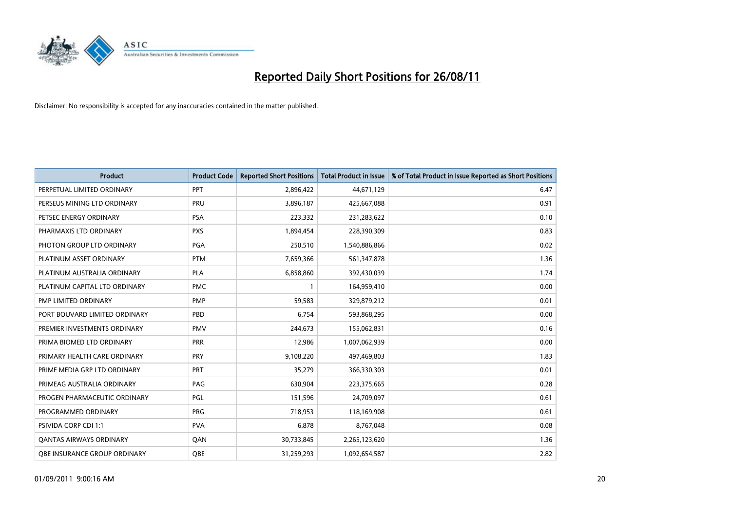

| <b>Product</b>                 | <b>Product Code</b> | <b>Reported Short Positions</b> | Total Product in Issue | % of Total Product in Issue Reported as Short Positions |
|--------------------------------|---------------------|---------------------------------|------------------------|---------------------------------------------------------|
| PERPETUAL LIMITED ORDINARY     | PPT                 | 2,896,422                       | 44,671,129             | 6.47                                                    |
| PERSEUS MINING LTD ORDINARY    | PRU                 | 3,896,187                       | 425,667,088            | 0.91                                                    |
| PETSEC ENERGY ORDINARY         | <b>PSA</b>          | 223,332                         | 231,283,622            | 0.10                                                    |
| PHARMAXIS LTD ORDINARY         | <b>PXS</b>          | 1,894,454                       | 228,390,309            | 0.83                                                    |
| PHOTON GROUP LTD ORDINARY      | PGA                 | 250,510                         | 1,540,886,866          | 0.02                                                    |
| PLATINUM ASSET ORDINARY        | <b>PTM</b>          | 7,659,366                       | 561,347,878            | 1.36                                                    |
| PLATINUM AUSTRALIA ORDINARY    | PLA                 | 6,858,860                       | 392,430,039            | 1.74                                                    |
| PLATINUM CAPITAL LTD ORDINARY  | <b>PMC</b>          |                                 | 164,959,410            | 0.00                                                    |
| PMP LIMITED ORDINARY           | <b>PMP</b>          | 59,583                          | 329,879,212            | 0.01                                                    |
| PORT BOUVARD LIMITED ORDINARY  | PBD                 | 6,754                           | 593,868,295            | 0.00                                                    |
| PREMIER INVESTMENTS ORDINARY   | <b>PMV</b>          | 244,673                         | 155,062,831            | 0.16                                                    |
| PRIMA BIOMED LTD ORDINARY      | <b>PRR</b>          | 12,986                          | 1,007,062,939          | 0.00                                                    |
| PRIMARY HEALTH CARE ORDINARY   | PRY                 | 9,108,220                       | 497,469,803            | 1.83                                                    |
| PRIME MEDIA GRP LTD ORDINARY   | PRT                 | 35,279                          | 366,330,303            | 0.01                                                    |
| PRIMEAG AUSTRALIA ORDINARY     | PAG                 | 630,904                         | 223,375,665            | 0.28                                                    |
| PROGEN PHARMACEUTIC ORDINARY   | PGL                 | 151,596                         | 24,709,097             | 0.61                                                    |
| PROGRAMMED ORDINARY            | <b>PRG</b>          | 718,953                         | 118,169,908            | 0.61                                                    |
| PSIVIDA CORP CDI 1:1           | <b>PVA</b>          | 6,878                           | 8,767,048              | 0.08                                                    |
| <b>QANTAS AIRWAYS ORDINARY</b> | QAN                 | 30,733,845                      | 2,265,123,620          | 1.36                                                    |
| OBE INSURANCE GROUP ORDINARY   | <b>OBE</b>          | 31,259,293                      | 1,092,654,587          | 2.82                                                    |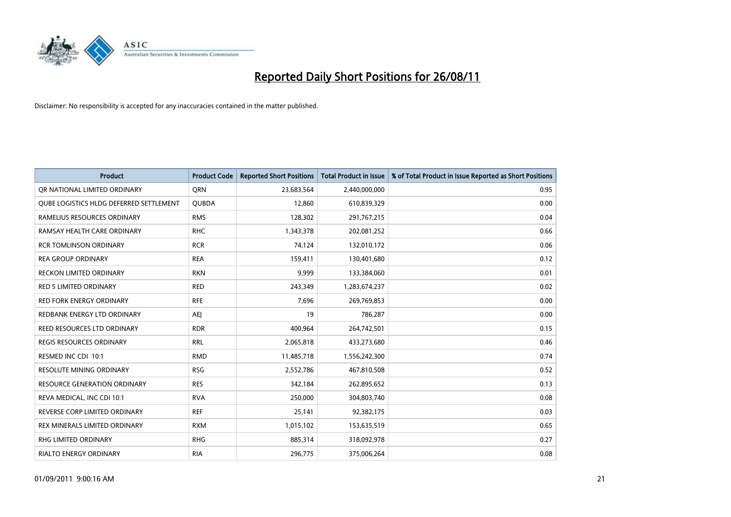

| <b>Product</b>                                 | <b>Product Code</b> | <b>Reported Short Positions</b> | <b>Total Product in Issue</b> | % of Total Product in Issue Reported as Short Positions |
|------------------------------------------------|---------------------|---------------------------------|-------------------------------|---------------------------------------------------------|
| OR NATIONAL LIMITED ORDINARY                   | <b>ORN</b>          | 23,683,564                      | 2,440,000,000                 | 0.95                                                    |
| <b>OUBE LOGISTICS HLDG DEFERRED SETTLEMENT</b> | <b>QUBDA</b>        | 12,860                          | 610,839,329                   | 0.00                                                    |
| RAMELIUS RESOURCES ORDINARY                    | <b>RMS</b>          | 128,302                         | 291,767,215                   | 0.04                                                    |
| RAMSAY HEALTH CARE ORDINARY                    | <b>RHC</b>          | 1,343,378                       | 202,081,252                   | 0.66                                                    |
| <b>RCR TOMLINSON ORDINARY</b>                  | <b>RCR</b>          | 74,124                          | 132,010,172                   | 0.06                                                    |
| <b>REA GROUP ORDINARY</b>                      | <b>REA</b>          | 159,411                         | 130,401,680                   | 0.12                                                    |
| <b>RECKON LIMITED ORDINARY</b>                 | <b>RKN</b>          | 9.999                           | 133,384,060                   | 0.01                                                    |
| <b>RED 5 LIMITED ORDINARY</b>                  | <b>RED</b>          | 243,349                         | 1,283,674,237                 | 0.02                                                    |
| <b>RED FORK ENERGY ORDINARY</b>                | <b>RFE</b>          | 7,696                           | 269,769,853                   | 0.00                                                    |
| REDBANK ENERGY LTD ORDINARY                    | <b>AEI</b>          | 19                              | 786,287                       | 0.00                                                    |
| REED RESOURCES LTD ORDINARY                    | <b>RDR</b>          | 400,964                         | 264,742,501                   | 0.15                                                    |
| <b>REGIS RESOURCES ORDINARY</b>                | <b>RRL</b>          | 2,065,818                       | 433,273,680                   | 0.46                                                    |
| RESMED INC CDI 10:1                            | <b>RMD</b>          | 11,485,718                      | 1,556,242,300                 | 0.74                                                    |
| <b>RESOLUTE MINING ORDINARY</b>                | <b>RSG</b>          | 2,552,786                       | 467,810,508                   | 0.52                                                    |
| <b>RESOURCE GENERATION ORDINARY</b>            | <b>RES</b>          | 342,184                         | 262,895,652                   | 0.13                                                    |
| REVA MEDICAL, INC CDI 10:1                     | <b>RVA</b>          | 250,000                         | 304,803,740                   | 0.08                                                    |
| REVERSE CORP LIMITED ORDINARY                  | <b>REF</b>          | 25,141                          | 92,382,175                    | 0.03                                                    |
| REX MINERALS LIMITED ORDINARY                  | <b>RXM</b>          | 1,015,102                       | 153,635,519                   | 0.65                                                    |
| <b>RHG LIMITED ORDINARY</b>                    | <b>RHG</b>          | 885,314                         | 318,092,978                   | 0.27                                                    |
| <b>RIALTO ENERGY ORDINARY</b>                  | <b>RIA</b>          | 296.775                         | 375,006,264                   | 0.08                                                    |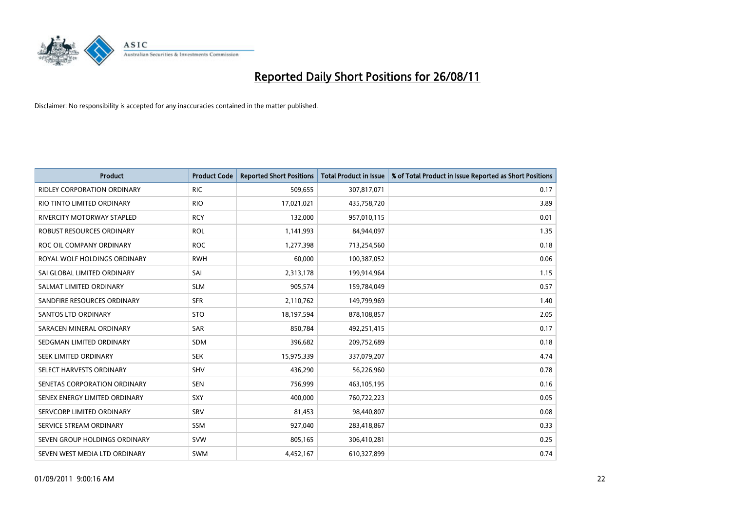

| <b>Product</b>                     | <b>Product Code</b> | <b>Reported Short Positions</b> | <b>Total Product in Issue</b> | % of Total Product in Issue Reported as Short Positions |
|------------------------------------|---------------------|---------------------------------|-------------------------------|---------------------------------------------------------|
| <b>RIDLEY CORPORATION ORDINARY</b> | <b>RIC</b>          | 509,655                         | 307,817,071                   | 0.17                                                    |
| RIO TINTO LIMITED ORDINARY         | <b>RIO</b>          | 17,021,021                      | 435,758,720                   | 3.89                                                    |
| RIVERCITY MOTORWAY STAPLED         | <b>RCY</b>          | 132,000                         | 957,010,115                   | 0.01                                                    |
| ROBUST RESOURCES ORDINARY          | <b>ROL</b>          | 1,141,993                       | 84,944,097                    | 1.35                                                    |
| ROC OIL COMPANY ORDINARY           | <b>ROC</b>          | 1,277,398                       | 713,254,560                   | 0.18                                                    |
| ROYAL WOLF HOLDINGS ORDINARY       | <b>RWH</b>          | 60,000                          | 100,387,052                   | 0.06                                                    |
| SAI GLOBAL LIMITED ORDINARY        | SAI                 | 2,313,178                       | 199,914,964                   | 1.15                                                    |
| SALMAT LIMITED ORDINARY            | <b>SLM</b>          | 905,574                         | 159,784,049                   | 0.57                                                    |
| SANDFIRE RESOURCES ORDINARY        | <b>SFR</b>          | 2,110,762                       | 149,799,969                   | 1.40                                                    |
| <b>SANTOS LTD ORDINARY</b>         | <b>STO</b>          | 18,197,594                      | 878,108,857                   | 2.05                                                    |
| SARACEN MINERAL ORDINARY           | <b>SAR</b>          | 850,784                         | 492,251,415                   | 0.17                                                    |
| SEDGMAN LIMITED ORDINARY           | <b>SDM</b>          | 396,682                         | 209,752,689                   | 0.18                                                    |
| <b>SEEK LIMITED ORDINARY</b>       | <b>SEK</b>          | 15,975,339                      | 337,079,207                   | 4.74                                                    |
| SELECT HARVESTS ORDINARY           | <b>SHV</b>          | 436,290                         | 56,226,960                    | 0.78                                                    |
| SENETAS CORPORATION ORDINARY       | <b>SEN</b>          | 756,999                         | 463,105,195                   | 0.16                                                    |
| SENEX ENERGY LIMITED ORDINARY      | SXY                 | 400,000                         | 760,722,223                   | 0.05                                                    |
| SERVCORP LIMITED ORDINARY          | SRV                 | 81,453                          | 98,440,807                    | 0.08                                                    |
| SERVICE STREAM ORDINARY            | <b>SSM</b>          | 927,040                         | 283,418,867                   | 0.33                                                    |
| SEVEN GROUP HOLDINGS ORDINARY      | <b>SVW</b>          | 805,165                         | 306,410,281                   | 0.25                                                    |
| SEVEN WEST MEDIA LTD ORDINARY      | <b>SWM</b>          | 4,452,167                       | 610,327,899                   | 0.74                                                    |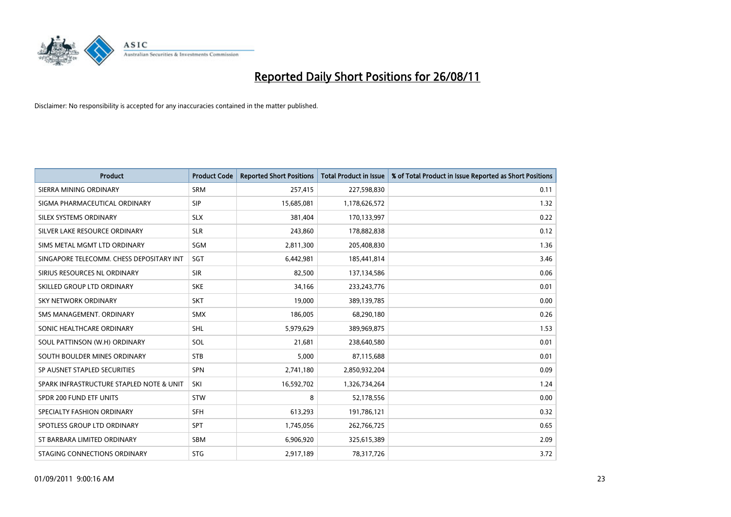

| <b>Product</b>                           | <b>Product Code</b> | <b>Reported Short Positions</b> | <b>Total Product in Issue</b> | % of Total Product in Issue Reported as Short Positions |
|------------------------------------------|---------------------|---------------------------------|-------------------------------|---------------------------------------------------------|
| SIERRA MINING ORDINARY                   | <b>SRM</b>          | 257,415                         | 227,598,830                   | 0.11                                                    |
| SIGMA PHARMACEUTICAL ORDINARY            | <b>SIP</b>          | 15,685,081                      | 1,178,626,572                 | 1.32                                                    |
| SILEX SYSTEMS ORDINARY                   | <b>SLX</b>          | 381,404                         | 170,133,997                   | 0.22                                                    |
| SILVER LAKE RESOURCE ORDINARY            | <b>SLR</b>          | 243,860                         | 178,882,838                   | 0.12                                                    |
| SIMS METAL MGMT LTD ORDINARY             | SGM                 | 2,811,300                       | 205,408,830                   | 1.36                                                    |
| SINGAPORE TELECOMM. CHESS DEPOSITARY INT | SGT                 | 6,442,981                       | 185,441,814                   | 3.46                                                    |
| SIRIUS RESOURCES NL ORDINARY             | <b>SIR</b>          | 82,500                          | 137,134,586                   | 0.06                                                    |
| SKILLED GROUP LTD ORDINARY               | <b>SKE</b>          | 34,166                          | 233, 243, 776                 | 0.01                                                    |
| <b>SKY NETWORK ORDINARY</b>              | <b>SKT</b>          | 19,000                          | 389,139,785                   | 0.00                                                    |
| SMS MANAGEMENT, ORDINARY                 | <b>SMX</b>          | 186,005                         | 68,290,180                    | 0.26                                                    |
| SONIC HEALTHCARE ORDINARY                | <b>SHL</b>          | 5,979,629                       | 389,969,875                   | 1.53                                                    |
| SOUL PATTINSON (W.H) ORDINARY            | SOL                 | 21,681                          | 238,640,580                   | 0.01                                                    |
| SOUTH BOULDER MINES ORDINARY             | <b>STB</b>          | 5,000                           | 87,115,688                    | 0.01                                                    |
| SP AUSNET STAPLED SECURITIES             | <b>SPN</b>          | 2,741,180                       | 2,850,932,204                 | 0.09                                                    |
| SPARK INFRASTRUCTURE STAPLED NOTE & UNIT | SKI                 | 16,592,702                      | 1,326,734,264                 | 1.24                                                    |
| SPDR 200 FUND ETF UNITS                  | STW                 | 8                               | 52,178,556                    | 0.00                                                    |
| SPECIALTY FASHION ORDINARY               | <b>SFH</b>          | 613,293                         | 191,786,121                   | 0.32                                                    |
| SPOTLESS GROUP LTD ORDINARY              | <b>SPT</b>          | 1,745,056                       | 262,766,725                   | 0.65                                                    |
| ST BARBARA LIMITED ORDINARY              | <b>SBM</b>          | 6,906,920                       | 325,615,389                   | 2.09                                                    |
| STAGING CONNECTIONS ORDINARY             | <b>STG</b>          | 2,917,189                       | 78,317,726                    | 3.72                                                    |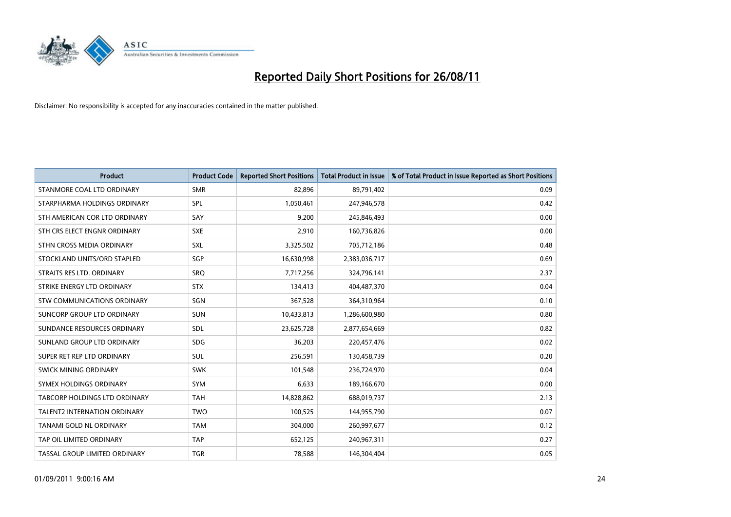

| <b>Product</b>                       | <b>Product Code</b> | <b>Reported Short Positions</b> | <b>Total Product in Issue</b> | % of Total Product in Issue Reported as Short Positions |
|--------------------------------------|---------------------|---------------------------------|-------------------------------|---------------------------------------------------------|
| STANMORE COAL LTD ORDINARY           | <b>SMR</b>          | 82,896                          | 89,791,402                    | 0.09                                                    |
| STARPHARMA HOLDINGS ORDINARY         | SPL                 | 1,050,461                       | 247,946,578                   | 0.42                                                    |
| STH AMERICAN COR LTD ORDINARY        | SAY                 | 9,200                           | 245,846,493                   | 0.00                                                    |
| STH CRS ELECT ENGNR ORDINARY         | <b>SXE</b>          | 2,910                           | 160,736,826                   | 0.00                                                    |
| STHN CROSS MEDIA ORDINARY            | <b>SXL</b>          | 3,325,502                       | 705,712,186                   | 0.48                                                    |
| STOCKLAND UNITS/ORD STAPLED          | SGP                 | 16,630,998                      | 2,383,036,717                 | 0.69                                                    |
| STRAITS RES LTD. ORDINARY            | <b>SRO</b>          | 7,717,256                       | 324,796,141                   | 2.37                                                    |
| STRIKE ENERGY LTD ORDINARY           | <b>STX</b>          | 134,413                         | 404,487,370                   | 0.04                                                    |
| <b>STW COMMUNICATIONS ORDINARY</b>   | SGN                 | 367,528                         | 364,310,964                   | 0.10                                                    |
| SUNCORP GROUP LTD ORDINARY           | <b>SUN</b>          | 10,433,813                      | 1,286,600,980                 | 0.80                                                    |
| SUNDANCE RESOURCES ORDINARY          | <b>SDL</b>          | 23,625,728                      | 2,877,654,669                 | 0.82                                                    |
| SUNLAND GROUP LTD ORDINARY           | <b>SDG</b>          | 36,203                          | 220,457,476                   | 0.02                                                    |
| SUPER RET REP LTD ORDINARY           | <b>SUL</b>          | 256,591                         | 130,458,739                   | 0.20                                                    |
| <b>SWICK MINING ORDINARY</b>         | <b>SWK</b>          | 101,548                         | 236,724,970                   | 0.04                                                    |
| SYMEX HOLDINGS ORDINARY              | SYM                 | 6,633                           | 189,166,670                   | 0.00                                                    |
| <b>TABCORP HOLDINGS LTD ORDINARY</b> | <b>TAH</b>          | 14,828,862                      | 688,019,737                   | 2.13                                                    |
| TALENT2 INTERNATION ORDINARY         | <b>TWO</b>          | 100,525                         | 144,955,790                   | 0.07                                                    |
| TANAMI GOLD NL ORDINARY              | <b>TAM</b>          | 304,000                         | 260,997,677                   | 0.12                                                    |
| TAP OIL LIMITED ORDINARY             | <b>TAP</b>          | 652,125                         | 240,967,311                   | 0.27                                                    |
| TASSAL GROUP LIMITED ORDINARY        | <b>TGR</b>          | 78,588                          | 146,304,404                   | 0.05                                                    |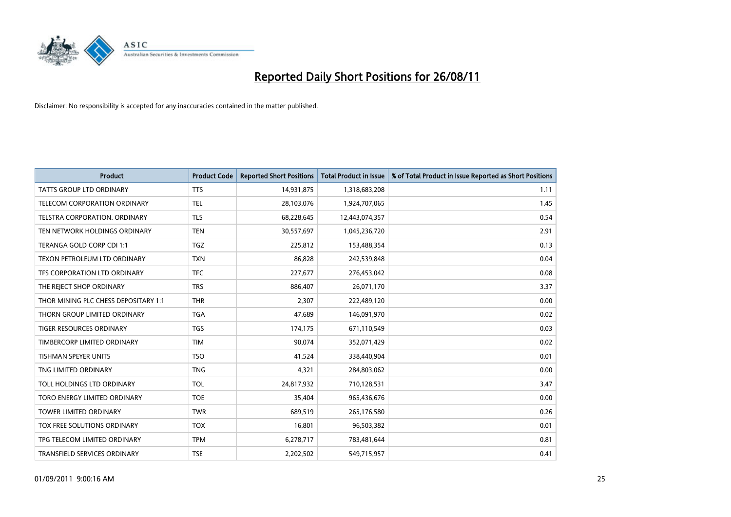

| <b>Product</b>                       | <b>Product Code</b> | <b>Reported Short Positions</b> | <b>Total Product in Issue</b> | % of Total Product in Issue Reported as Short Positions |
|--------------------------------------|---------------------|---------------------------------|-------------------------------|---------------------------------------------------------|
| <b>TATTS GROUP LTD ORDINARY</b>      | <b>TTS</b>          | 14,931,875                      | 1,318,683,208                 | 1.11                                                    |
| TELECOM CORPORATION ORDINARY         | <b>TEL</b>          | 28,103,076                      | 1,924,707,065                 | 1.45                                                    |
| <b>TELSTRA CORPORATION, ORDINARY</b> | <b>TLS</b>          | 68,228,645                      | 12,443,074,357                | 0.54                                                    |
| TEN NETWORK HOLDINGS ORDINARY        | <b>TEN</b>          | 30,557,697                      | 1,045,236,720                 | 2.91                                                    |
| TERANGA GOLD CORP CDI 1:1            | <b>TGZ</b>          | 225,812                         | 153,488,354                   | 0.13                                                    |
| TEXON PETROLEUM LTD ORDINARY         | <b>TXN</b>          | 86,828                          | 242,539,848                   | 0.04                                                    |
| TFS CORPORATION LTD ORDINARY         | <b>TFC</b>          | 227,677                         | 276,453,042                   | 0.08                                                    |
| THE REJECT SHOP ORDINARY             | <b>TRS</b>          | 886,407                         | 26,071,170                    | 3.37                                                    |
| THOR MINING PLC CHESS DEPOSITARY 1:1 | <b>THR</b>          | 2,307                           | 222,489,120                   | 0.00                                                    |
| THORN GROUP LIMITED ORDINARY         | <b>TGA</b>          | 47,689                          | 146,091,970                   | 0.02                                                    |
| TIGER RESOURCES ORDINARY             | <b>TGS</b>          | 174,175                         | 671,110,549                   | 0.03                                                    |
| TIMBERCORP LIMITED ORDINARY          | <b>TIM</b>          | 90,074                          | 352,071,429                   | 0.02                                                    |
| <b>TISHMAN SPEYER UNITS</b>          | <b>TSO</b>          | 41,524                          | 338,440,904                   | 0.01                                                    |
| TNG LIMITED ORDINARY                 | <b>TNG</b>          | 4,321                           | 284,803,062                   | 0.00                                                    |
| TOLL HOLDINGS LTD ORDINARY           | <b>TOL</b>          | 24,817,932                      | 710,128,531                   | 3.47                                                    |
| TORO ENERGY LIMITED ORDINARY         | <b>TOE</b>          | 35,404                          | 965,436,676                   | 0.00                                                    |
| <b>TOWER LIMITED ORDINARY</b>        | <b>TWR</b>          | 689,519                         | 265,176,580                   | 0.26                                                    |
| TOX FREE SOLUTIONS ORDINARY          | <b>TOX</b>          | 16,801                          | 96,503,382                    | 0.01                                                    |
| TPG TELECOM LIMITED ORDINARY         | <b>TPM</b>          | 6,278,717                       | 783,481,644                   | 0.81                                                    |
| TRANSFIELD SERVICES ORDINARY         | <b>TSE</b>          | 2,202,502                       | 549,715,957                   | 0.41                                                    |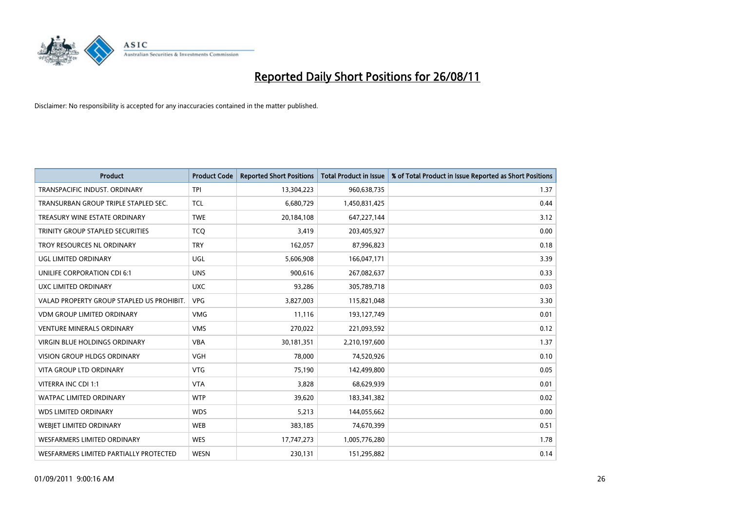

| <b>Product</b>                            | <b>Product Code</b> | <b>Reported Short Positions</b> | <b>Total Product in Issue</b> | % of Total Product in Issue Reported as Short Positions |
|-------------------------------------------|---------------------|---------------------------------|-------------------------------|---------------------------------------------------------|
| <b>TRANSPACIFIC INDUST, ORDINARY</b>      | <b>TPI</b>          | 13,304,223                      | 960,638,735                   | 1.37                                                    |
| TRANSURBAN GROUP TRIPLE STAPLED SEC.      | <b>TCL</b>          | 6,680,729                       | 1,450,831,425                 | 0.44                                                    |
| TREASURY WINE ESTATE ORDINARY             | <b>TWE</b>          | 20,184,108                      | 647,227,144                   | 3.12                                                    |
| TRINITY GROUP STAPLED SECURITIES          | <b>TCO</b>          | 3,419                           | 203,405,927                   | 0.00                                                    |
| TROY RESOURCES NL ORDINARY                | <b>TRY</b>          | 162,057                         | 87,996,823                    | 0.18                                                    |
| UGL LIMITED ORDINARY                      | <b>UGL</b>          | 5,606,908                       | 166,047,171                   | 3.39                                                    |
| UNILIFE CORPORATION CDI 6:1               | <b>UNS</b>          | 900.616                         | 267,082,637                   | 0.33                                                    |
| UXC LIMITED ORDINARY                      | <b>UXC</b>          | 93,286                          | 305,789,718                   | 0.03                                                    |
| VALAD PROPERTY GROUP STAPLED US PROHIBIT. | <b>VPG</b>          | 3,827,003                       | 115,821,048                   | 3.30                                                    |
| <b>VDM GROUP LIMITED ORDINARY</b>         | <b>VMG</b>          | 11,116                          | 193,127,749                   | 0.01                                                    |
| <b>VENTURE MINERALS ORDINARY</b>          | <b>VMS</b>          | 270,022                         | 221,093,592                   | 0.12                                                    |
| <b>VIRGIN BLUE HOLDINGS ORDINARY</b>      | <b>VBA</b>          | 30,181,351                      | 2,210,197,600                 | 1.37                                                    |
| <b>VISION GROUP HLDGS ORDINARY</b>        | <b>VGH</b>          | 78.000                          | 74,520,926                    | 0.10                                                    |
| <b>VITA GROUP LTD ORDINARY</b>            | <b>VTG</b>          | 75,190                          | 142,499,800                   | 0.05                                                    |
| VITERRA INC CDI 1:1                       | <b>VTA</b>          | 3,828                           | 68,629,939                    | 0.01                                                    |
| <b>WATPAC LIMITED ORDINARY</b>            | <b>WTP</b>          | 39,620                          | 183,341,382                   | 0.02                                                    |
| <b>WDS LIMITED ORDINARY</b>               | <b>WDS</b>          | 5,213                           | 144,055,662                   | 0.00                                                    |
| <b>WEBIET LIMITED ORDINARY</b>            | <b>WEB</b>          | 383,185                         | 74,670,399                    | 0.51                                                    |
| <b>WESFARMERS LIMITED ORDINARY</b>        | <b>WES</b>          | 17,747,273                      | 1,005,776,280                 | 1.78                                                    |
| WESFARMERS LIMITED PARTIALLY PROTECTED    | <b>WESN</b>         | 230.131                         | 151,295,882                   | 0.14                                                    |